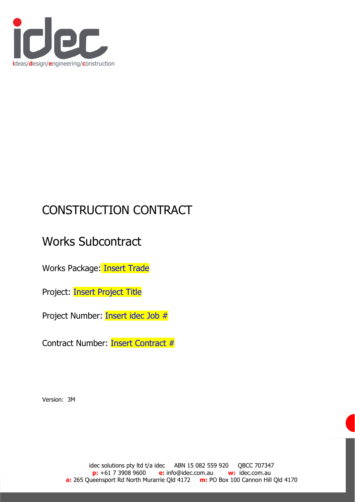

# CONSTRUCTION CONTRACT

# Works Subcontract

Works Package: Insert Trade

Project: **Insert Project Title** 

Project Number: Insert idec Job #

Contract Number: Insert Contract #

Version: 3M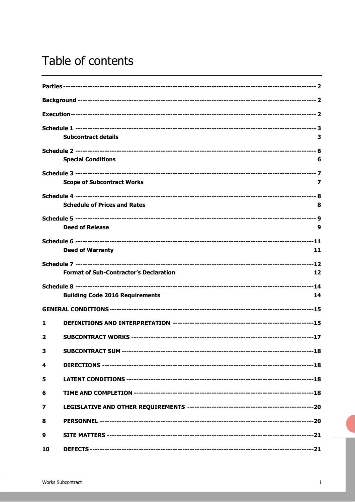# Table of contents

|    | <b>Subcontract details</b>                    | з  |
|----|-----------------------------------------------|----|
|    |                                               |    |
|    | <b>Special Conditions</b>                     | 6  |
|    |                                               |    |
|    | <b>Scope of Subcontract Works</b>             | 7  |
|    |                                               |    |
|    | <b>Schedule of Prices and Rates</b>           | 8  |
|    |                                               |    |
|    | <b>Deed of Release</b>                        | 9  |
|    |                                               |    |
|    | <b>Deed of Warranty</b>                       | 11 |
|    |                                               |    |
|    | <b>Format of Sub-Contractor's Declaration</b> | 12 |
|    |                                               |    |
|    | <b>Building Code 2016 Requirements</b>        | 14 |
|    |                                               |    |
| 1  |                                               |    |
| 2  |                                               |    |
| 3  |                                               |    |
| 4  |                                               |    |
| 5  |                                               |    |
| 6  |                                               |    |
| 7  |                                               |    |
| 8  |                                               |    |
| 9  |                                               |    |
| 10 |                                               |    |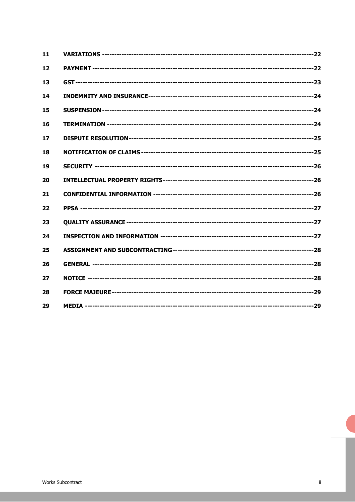| 11 |  |
|----|--|
| 12 |  |
| 13 |  |
| 14 |  |
| 15 |  |
| 16 |  |
| 17 |  |
| 18 |  |
| 19 |  |
| 20 |  |
| 21 |  |
| 22 |  |
| 23 |  |
| 24 |  |
| 25 |  |
| 26 |  |
| 27 |  |
| 28 |  |
| 29 |  |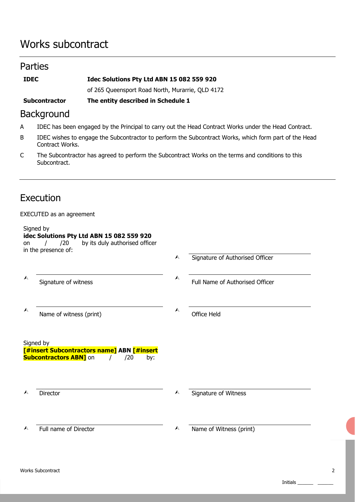## Works subcontract

## Parties

| <b>IDEC</b> | Idec Solutions Pty Ltd ABN 15 082 559 920 |
|-------------|-------------------------------------------|
|-------------|-------------------------------------------|

of 265 Queensport Road North, Murarrie, QLD 4172

**Subcontractor The entity described in Schedule 1** 

## Background

- A IDEC has been engaged by the Principal to carry out the Head Contract Works under the Head Contract.
- B IDEC wishes to engage the Subcontractor to perform the Subcontract Works, which form part of the Head Contract Works.
- C The Subcontractor has agreed to perform the Subcontract Works on the terms and conditions to this Subcontract.

## Execution

## EXECUTED as an agreement

| on               | Signed by<br>idec Solutions Pty Ltd ABN 15 082 559 920<br>by its duly authorised officer<br>/20<br>in the presence of: |                  |                                 |
|------------------|------------------------------------------------------------------------------------------------------------------------|------------------|---------------------------------|
|                  |                                                                                                                        | $\blacktriangle$ | Signature of Authorised Officer |
| A                | Signature of witness                                                                                                   | $\blacktriangle$ | Full Name of Authorised Officer |
| $\blacktriangle$ | Name of witness (print)                                                                                                | $\blacktriangle$ | <b>Office Held</b>              |
|                  | Signed by<br>[#insert Subcontractors name] ABN [#insert<br><b>Subcontractors ABN]</b> on<br>/20<br>by:                 |                  |                                 |
|                  | Director                                                                                                               | $\blacktriangle$ | Signature of Witness            |
|                  | Full name of Director                                                                                                  | $\blacktriangle$ | Name of Witness (print)         |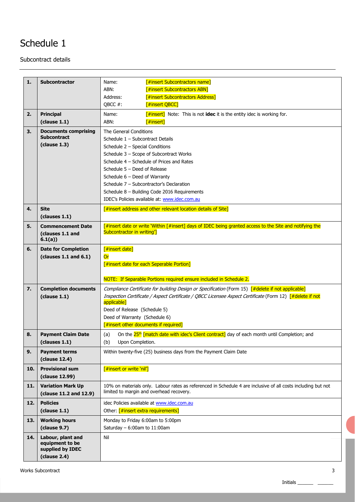Subcontract details

| 1.  | <b>Subcontractor</b>        | <b>[#insert Subcontractors name]</b><br>Name:                                                                                                            |  |  |  |
|-----|-----------------------------|----------------------------------------------------------------------------------------------------------------------------------------------------------|--|--|--|
|     |                             | ABN:<br><b>[#insert Subcontractors ABN]</b>                                                                                                              |  |  |  |
|     |                             | [#insert Subcontractors Address]<br>Address:                                                                                                             |  |  |  |
|     |                             | OBCC #:<br>[#insert QBCC]                                                                                                                                |  |  |  |
|     |                             |                                                                                                                                                          |  |  |  |
| 2.  | <b>Principal</b>            | Name:<br><b>[#insert]</b> Note: This is not <b>idec</b> it is the entity idec is working for.                                                            |  |  |  |
|     | clause 1.1)                 | ABN:<br>$[$ #insert]                                                                                                                                     |  |  |  |
| 3.  | <b>Documents comprising</b> | The General Conditions                                                                                                                                   |  |  |  |
|     | <b>Subcontract</b>          | Schedule 1 - Subcontract Details                                                                                                                         |  |  |  |
|     | clause 1.3)                 | Schedule 2 - Special Conditions                                                                                                                          |  |  |  |
|     |                             | Schedule 3 - Scope of Subcontract Works                                                                                                                  |  |  |  |
|     |                             | Schedule 4 - Schedule of Prices and Rates                                                                                                                |  |  |  |
|     |                             | Schedule $5 -$ Deed of Release                                                                                                                           |  |  |  |
|     |                             | Schedule $6$ – Deed of Warranty                                                                                                                          |  |  |  |
|     |                             | Schedule 7 - Subcontractor's Declaration                                                                                                                 |  |  |  |
|     |                             | Schedule 8 - Building Code 2016 Requirements                                                                                                             |  |  |  |
|     |                             | IDEC's Policies available at: www.idec.com.au                                                                                                            |  |  |  |
| 4.  | <b>Site</b>                 | [#insert address and other relevant location details of Site]                                                                                            |  |  |  |
|     | (clauses 1.1)               |                                                                                                                                                          |  |  |  |
| 5.  | <b>Commencement Date</b>    | [#insert date or write 'Within [#insert] days of IDEC being granted access to the Site and notifying the                                                 |  |  |  |
|     | (clauses 1.1 and            | Subcontractor in writing']                                                                                                                               |  |  |  |
|     | 6.1(a)                      |                                                                                                                                                          |  |  |  |
| 6.  | <b>Date for Completion</b>  | [#insert date]                                                                                                                                           |  |  |  |
|     | (clauses $1.1$ and $6.1$ )  | Or                                                                                                                                                       |  |  |  |
|     |                             | [#insert date for each Seperable Portion]                                                                                                                |  |  |  |
|     |                             |                                                                                                                                                          |  |  |  |
|     |                             | NOTE: If Separable Portions required ensure included in Schedule 2.                                                                                      |  |  |  |
| 7.  | <b>Completion documents</b> | Compliance Certificate for building Design or Specification (Form 15) [#delete if not applicable]                                                        |  |  |  |
|     | clause 1.1)                 | Inspection Certificate / Aspect Certificate / QBCC Licensee Aspect Certificate (Form 12) [#delete if not                                                 |  |  |  |
|     |                             | applicable]                                                                                                                                              |  |  |  |
|     |                             | Deed of Release (Schedule 5)                                                                                                                             |  |  |  |
|     |                             | Deed of Warranty (Schedule 6)                                                                                                                            |  |  |  |
|     |                             | $[$ #insert other documents if required]                                                                                                                 |  |  |  |
| 8.  | <b>Payment Claim Date</b>   | On the 25 <sup>th</sup> [match date with idec's Client contract] day of each month until Completion; and<br>(a)                                          |  |  |  |
|     | (clauses 1.1)               | (b)<br>Upon Completion.                                                                                                                                  |  |  |  |
| 9.  | <b>Payment terms</b>        | Within twenty-five (25) business days from the Payment Claim Date                                                                                        |  |  |  |
|     | (clause 12.4)               |                                                                                                                                                          |  |  |  |
| 10. | <b>Provisional sum</b>      | [#insert or write 'nil']                                                                                                                                 |  |  |  |
|     | (clause 12.99)              |                                                                                                                                                          |  |  |  |
|     |                             |                                                                                                                                                          |  |  |  |
| 11. | <b>Variation Mark Up</b>    | 10% on materials only. Labour rates as referenced in Schedule 4 are inclusive of all costs including but not<br>limited to margin and overhead recovery. |  |  |  |
|     | (clause 11.2 and 12.9)      |                                                                                                                                                          |  |  |  |
| 12. | <b>Policies</b>             | idec Policies available at www.idec.com.au                                                                                                               |  |  |  |
|     | clause 1.1)                 | Other: [#insert extra requirements]                                                                                                                      |  |  |  |
| 13. | <b>Working hours</b>        | Monday to Friday 6:00am to 5:00pm                                                                                                                        |  |  |  |
|     | (clause 9.7)                | Saturday $-6:00$ am to 11:00am                                                                                                                           |  |  |  |
| 14. | Labour, plant and           | Nil                                                                                                                                                      |  |  |  |
|     | equipment to be             |                                                                                                                                                          |  |  |  |
|     | supplied by IDEC            |                                                                                                                                                          |  |  |  |
|     | clause 2.4)                 |                                                                                                                                                          |  |  |  |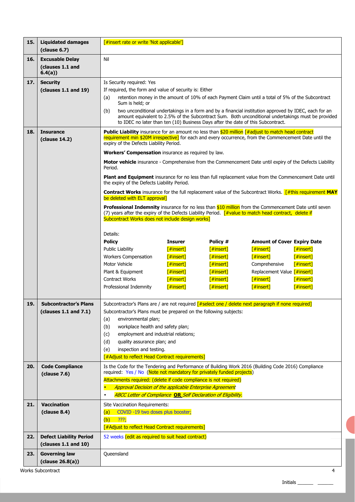| 15. | <b>Liquidated damages</b><br>clause 6.7)             | [#insert rate or write 'Not applicable']                                                                                                                                                                                                                                                                                  |                           |                        |                                    |              |
|-----|------------------------------------------------------|---------------------------------------------------------------------------------------------------------------------------------------------------------------------------------------------------------------------------------------------------------------------------------------------------------------------------|---------------------------|------------------------|------------------------------------|--------------|
| 16. | <b>Excusable Delay</b><br>(clauses 1.1 and<br>6.4(a) | Nil                                                                                                                                                                                                                                                                                                                       |                           |                        |                                    |              |
| 17. | <b>Security</b>                                      | Is Security required: Yes                                                                                                                                                                                                                                                                                                 |                           |                        |                                    |              |
|     | (clauses 1.1 and 19)                                 | If required, the form and value of security is: Either                                                                                                                                                                                                                                                                    |                           |                        |                                    |              |
|     |                                                      | retention money in the amount of 10% of each Payment Claim until a total of 5% of the Subcontract<br>(a)                                                                                                                                                                                                                  |                           |                        |                                    |              |
|     |                                                      | Sum is held; or<br>two unconditional undertakings in a form and by a financial institution approved by IDEC, each for an<br>(b)<br>amount equivalent to 2.5% of the Subcontract Sum. Both unconditional undertakings must be provided<br>to IDEC no later than ten (10) Business Days after the date of this Subcontract. |                           |                        |                                    |              |
| 18. | <b>Insurance</b><br>(clause 14.2)                    | <b>Public Liability</b> insurance for an amount no less than $$20$ million [#adjust to match head contract<br>requirement min \$20M irrespective] for each and every occurrence, from the Commencement Date until the<br>expiry of the Defects Liability Period.                                                          |                           |                        |                                    |              |
|     |                                                      | Workers' Compensation insurance as required by law.                                                                                                                                                                                                                                                                       |                           |                        |                                    |              |
|     |                                                      | Motor vehicle insurance - Comprehensive from the Commencement Date until expiry of the Defects Liability<br>Period.                                                                                                                                                                                                       |                           |                        |                                    |              |
|     |                                                      | Plant and Equipment insurance for no less than full replacement value from the Commencement Date until<br>the expiry of the Defects Liability Period.                                                                                                                                                                     |                           |                        |                                    |              |
|     |                                                      | <b>Contract Works</b> insurance for the full replacement value of the Subcontract Works. $\frac{d}{dx}$ [#this requirement MAY<br>be deleted with ELT approval]                                                                                                                                                           |                           |                        |                                    |              |
|     |                                                      | Professional Indemnity insurance for no less than \$10 million from the Commencement Date until seven<br>(7) years after the expiry of the Defects Liability Period. [#value to match head contract, delete if<br>Subcontract Works does not include design works]                                                        |                           |                        |                                    |              |
|     |                                                      | Details:                                                                                                                                                                                                                                                                                                                  |                           |                        |                                    |              |
|     |                                                      | <b>Policy</b>                                                                                                                                                                                                                                                                                                             | <b>Insurer</b>            | Policy #               | <b>Amount of Cover Expiry Date</b> |              |
|     |                                                      | <b>Public Liability</b>                                                                                                                                                                                                                                                                                                   | $[$ #insert]              | [#insert]              | [#insert]                          | [#insert]    |
|     |                                                      | <b>Workers Compensation</b>                                                                                                                                                                                                                                                                                               | $[$ #insert]              | [#insert]              | $[$ #insert]                       | $[$ #insert] |
|     |                                                      | Motor Vehicle                                                                                                                                                                                                                                                                                                             | $[$ #insert]              | [#insert]              | Comprehensive                      | [#insert]    |
|     |                                                      | Plant & Equipment                                                                                                                                                                                                                                                                                                         | $[$ #insert]              | [#insert]              | Replacement Value [#insert]        |              |
|     |                                                      | Contract Works                                                                                                                                                                                                                                                                                                            | [#insert]<br>$[$ #insert] | [#insert]<br>[#insert] | [#insert]<br>f#insert              | [#insert]    |
|     |                                                      | Professional Indemnity                                                                                                                                                                                                                                                                                                    |                           |                        |                                    | [#insert]    |
| 19. | <b>Subcontractor's Plans</b>                         |                                                                                                                                                                                                                                                                                                                           |                           |                        |                                    |              |
|     | (clauses 1.1 and 7.1)                                | Subcontractor's Plans are / are not required [#select one / delete next paragraph if none required]<br>Subcontractor's Plans must be prepared on the following subjects:                                                                                                                                                  |                           |                        |                                    |              |
|     |                                                      | environmental plan;<br>(a)                                                                                                                                                                                                                                                                                                |                           |                        |                                    |              |
|     |                                                      | workplace health and safety plan;<br>(b)                                                                                                                                                                                                                                                                                  |                           |                        |                                    |              |
|     |                                                      | employment and industrial relations;<br>(c)                                                                                                                                                                                                                                                                               |                           |                        |                                    |              |
|     |                                                      | (d)<br>quality assurance plan; and                                                                                                                                                                                                                                                                                        |                           |                        |                                    |              |
|     |                                                      | inspection and testing.<br>(e)<br><b>F#Adjust to reflect Head Contract requirements]</b>                                                                                                                                                                                                                                  |                           |                        |                                    |              |
| 20. | <b>Code Compliance</b>                               | Is the Code for the Tendering and Performance of Building Work 2016 (Building Code 2016) Compliance                                                                                                                                                                                                                       |                           |                        |                                    |              |
|     | clause 7.6)                                          | required: Yes / No (Note not mandatory for privately funded projects)                                                                                                                                                                                                                                                     |                           |                        |                                    |              |
|     |                                                      | Attachments required: (delete if code compliance is not required)                                                                                                                                                                                                                                                         |                           |                        |                                    |              |
|     |                                                      | Approval Decision of the applicable Enterprise Agreement                                                                                                                                                                                                                                                                  |                           |                        |                                    |              |
|     |                                                      | <b>ABCC Letter of Compliance OR Self Declaration of Eligibility.</b><br>$\bullet$                                                                                                                                                                                                                                         |                           |                        |                                    |              |
| 21. | <b>Vaccination</b><br>clause 8.4)                    | Site Vaccination Requirements:<br>COVID-19 two doses plus booster;<br>(a)                                                                                                                                                                                                                                                 |                           |                        |                                    |              |
|     |                                                      | ???<br>(b)                                                                                                                                                                                                                                                                                                                |                           |                        |                                    |              |
|     |                                                      | [#Adjust to reflect Head Contract requirements]                                                                                                                                                                                                                                                                           |                           |                        |                                    |              |
| 22. | <b>Defect Liability Period</b>                       | 52 weeks (edit as required to suit head contract)                                                                                                                                                                                                                                                                         |                           |                        |                                    |              |
|     | (clauses 1.1 and 10)                                 |                                                                                                                                                                                                                                                                                                                           |                           |                        |                                    |              |
| 23. | <b>Governing law</b>                                 | Queensland                                                                                                                                                                                                                                                                                                                |                           |                        |                                    |              |
|     | clause 26.8(a))                                      |                                                                                                                                                                                                                                                                                                                           |                           |                        |                                    |              |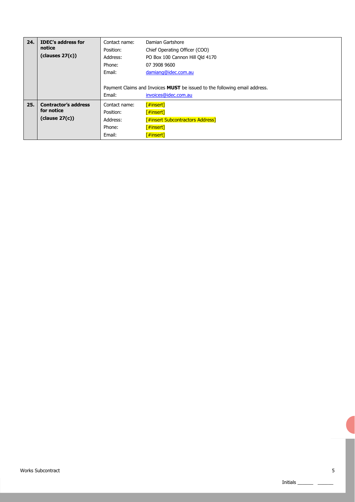| 24. | <b>IDEC's address for</b><br>notice<br>clauses 27(c)      | Contact name:<br>Position:<br>Address:<br>Phone:<br>Email: | Damian Gartshore<br>Chief Operating Officer (COO)<br>PO Box 100 Cannon Hill Old 4170<br>07 3908 9600<br>damiang@idec.com.au |
|-----|-----------------------------------------------------------|------------------------------------------------------------|-----------------------------------------------------------------------------------------------------------------------------|
|     |                                                           | Email:                                                     | Payment Claims and Invoices <b>MUST</b> be issued to the following email address.<br>invoices@idec.com.au                   |
| 25. | <b>Contractor's address</b><br>for notice<br>clause 27(c) | Contact name:<br>Position:<br>Address:<br>Phone:<br>Email: | [#insert]<br>[#insert]<br><b>F#insert Subcontractors Address]</b><br>[#insert]<br>[#insert]                                 |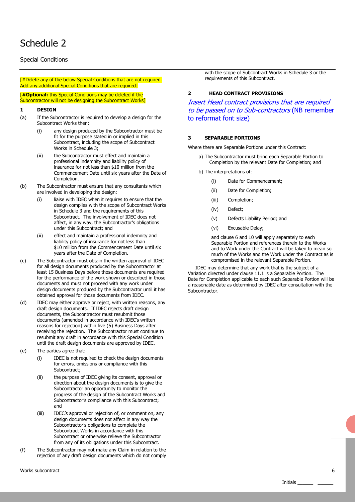## Special Conditions

[#Delete any of the below Special Conditions that are not required. Add any additional Special Conditions that are required]

[**#Optional:** this Special Conditions may be deleted if the Subcontractor will not be designing the Subcontract Works]

#### **1 DESIGN**

- (a) If the Subcontractor is required to develop a design for the Subcontract Works then:
	- (i) any design produced by the Subcontractor must be fit for the purpose stated in or implied in this Subcontract, including the scope of Subcontract Works in Schedule 3;
	- (ii) the Subcontractor must effect and maintain a professional indemnity and liability policy of insurance for not less than \$10 million from the Commencement Date until six years after the Date of Completion.
- (b) The Subcontractor must ensure that any consultants which are involved in developing the design:
	- (i) liaise with IDEC when it requires to ensure that the design complies with the scope of Subcontract Works in Schedule 3 and the requirements of this Subcontract. The involvement of IDEC does not affect, in any way, the Subcontractor's obligations under this Subcontract; and
	- (ii) effect and maintain a professional indemnity and liability policy of insurance for not less than \$10 million from the Commencement Date until six years after the Date of Completion.
- (c) The Subcontractor must obtain the written approval of IDEC for all design documents produced by the Subcontractor at least 15 Business Days before those documents are required for the performance of the work shown or described in those documents and must not proceed with any work under design documents produced by the Subcontractor until it has obtained approval for those documents from IDEC.
- (d) IDEC may either approve or reject, with written reasons, any draft design documents. If IDEC rejects draft design documents, the Subcontractor must resubmit those documents (amended in accordance with IDEC's written reasons for rejection) within five (5) Business Days after receiving the rejection. The Subcontractor must continue to resubmit any draft in accordance with this Special Condition until the draft design documents are approved by IDEC.
- (e) The parties agree that:
	- (i) IDEC is not required to check the design documents for errors, omissions or compliance with this Subcontract;
	- (ii) the purpose of IDEC giving its consent, approval or direction about the design documents is to give the Subcontractor an opportunity to monitor the progress of the design of the Subcontract Works and Subcontractor's compliance with this Subcontract; and
	- (iii) IDEC's approval or rejection of, or comment on, any design documents does not affect in any way the Subcontractor's obligations to complete the Subcontract Works in accordance with this Subcontract or otherwise relieve the Subcontractor from any of its obligations under this Subcontract.
- (f) The Subcontractor may not make any Claim in relation to the rejection of any draft design documents which do not comply

with the scope of Subcontract Works in Schedule 3 or the requirements of this Subcontract.

#### **2 HEAD CONTRACT PROVISIONS**

Insert Head contract provisions that are required to be passed on to Sub-contractors (NB remember to reformat font size)

#### **3 SEPARABLE PORTIONS**

Where there are Separable Portions under this Contract:

- a) The Subcontractor must bring each Separable Portion to Completion by the relevant Date for Completion; and
- b) The interpretations of:
	- (i) Date for Commencement;
	- (ii)Date for Completion;
	- (iii) Completion;
	- (iv) Defect;
	- (v) Defects Liability Period; and
	- (vi) Excusable Delay;

and clause 6 and 10 will apply separately to each Separable Portion and references therein to the Works and to Work under the Contract will be taken to mean so much of the Works and the Work under the Contract as is compromised in the relevant Separable Portion.

 IDEC may determine that any work that is the subject of a Variation directed under clause 11.1 is a Separable Portion. The Date for Completion applicable to each such Separable Portion will be a reasonable date as determined by IDEC after consultation with the Subcontractor.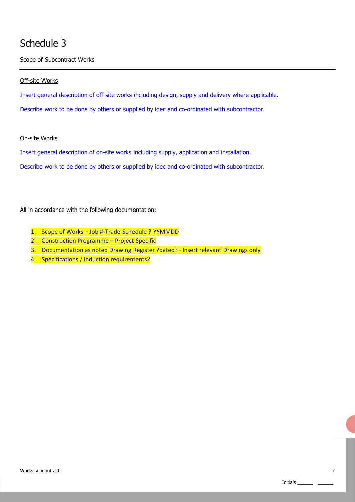Scope of Subcontract Works

## Off-site Works

Insert general description of off-site works including design, supply and delivery where applicable.

Describe work to be done by others or supplied by idec and co-ordinated with subcontractor.

## On-site Works

Insert general description of on-site works including supply, application and installation.

Describe work to be done by others or supplied by idec and co-ordinated with subcontractor.

All in accordance with the following documentation:

- 1. Scope of Works Job #-Trade-Schedule ?-YYMMDD
- 2. Construction Programme Project Specific
- 3. Documentation as noted Drawing Register ?dated?– Insert relevant Drawings only
- 4. Specifications / Induction requirements?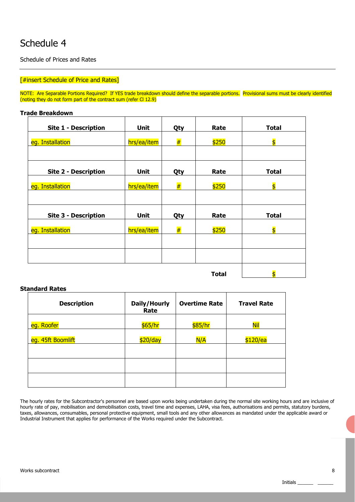Schedule of Prices and Rates

## **[#insert Schedule of Price and Rates]**

NOTE: Are Separable Portions Required? If YES trade breakdown should define the separable portions. Provisional sums must be clearly identified (noting they do not form part of the contract sum (refer Cl 12.9)

### **Trade Breakdown**

| <b>Site 1 - Description</b> | Unit        | Qty | Rate         | <b>Total</b>            |
|-----------------------------|-------------|-----|--------------|-------------------------|
| eg. Installation            | hrs/ea/item | #   | \$250        | $\overline{\mathsf{S}}$ |
|                             |             |     |              |                         |
| <b>Site 2 - Description</b> | <b>Unit</b> | Qty | Rate         | <b>Total</b>            |
| eg. Installation            | hrs/ea/item | #   | \$250        | $\overline{\mathsf{S}}$ |
|                             |             |     |              |                         |
| <b>Site 3 - Description</b> | Unit        | Qty | Rate         | <b>Total</b>            |
| eg. Installation            | hrs/ea/item | #   | \$250        | $\overline{\mathsf{s}}$ |
|                             |             |     |              |                         |
|                             |             |     |              |                         |
|                             |             |     | <b>Total</b> | $\overline{\mathsf{S}}$ |

### **Standard Rates**

| <b>Description</b> | Daily/Hourly<br>Rate | <b>Overtime Rate</b> | <b>Travel Rate</b> |
|--------------------|----------------------|----------------------|--------------------|
| eg. Roofer         | \$65/hr              | \$85/hr              | Nil                |
| eg. 45ft Boomlift  | \$20/day             | N/A                  | \$120/ea           |
|                    |                      |                      |                    |
|                    |                      |                      |                    |
|                    |                      |                      |                    |

The hourly rates for the Subcontractor's personnel are based upon works being undertaken during the normal site working hours and are inclusive of hourly rate of pay, mobilisation and demobilisation costs, travel time and expenses, LAHA, visa fees, authorisations and permits, statutory burdens, taxes, allowances, consumables, personal protective equipment, small tools and any other allowances as mandated under the applicable award or Industrial Instrument that applies for performance of the Works required under the Subcontract.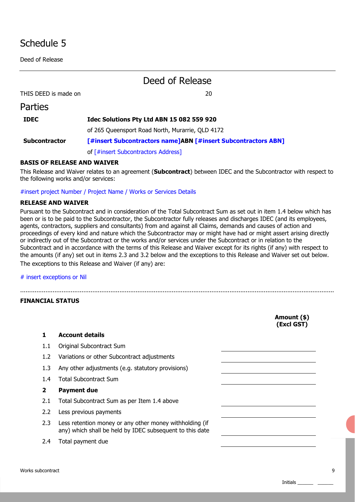Deed of Release

**Dartigc** 

## Deed of Release

THIS DEED is made on 20

| י טונוכט             |                                                               |
|----------------------|---------------------------------------------------------------|
| <b>IDEC</b>          | Idec Solutions Pty Ltd ABN 15 082 559 920                     |
|                      | of 265 Queensport Road North, Murarrie, QLD 4172              |
| <b>Subcontractor</b> | [#insert Subcontractors name]ABN [#insert Subcontractors ABN] |
|                      | of [#insert Subcontractors Address]                           |

## **BASIS OF RELEASE AND WAIVER**

This Release and Waiver relates to an agreement (**Subcontract**) between IDEC and the Subcontractor with respect to the following works and/or services:

#insert project Number / Project Name / Works or Services Details

### **RELEASE AND WAIVER**

Pursuant to the Subcontract and in consideration of the Total Subcontract Sum as set out in item 1.4 below which has been or is to be paid to the Subcontractor, the Subcontractor fully releases and discharges IDEC (and its employees, agents, contractors, suppliers and consultants) from and against all Claims, demands and causes of action and proceedings of every kind and nature which the Subcontractor may or might have had or might assert arising directly or indirectly out of the Subcontract or the works and/or services under the Subcontract or in relation to the Subcontract and in accordance with the terms of this Release and Waiver except for its rights (if any) with respect to the amounts (if any) set out in items 2.3 and 3.2 below and the exceptions to this Release and Waiver set out below. The exceptions to this Release and Waiver (if any) are:

..............................................................................................................................................................................

# insert exceptions or Nil

### **FINANCIAL STATUS**

|                  |                                                                                                                     | Amount (\$)<br>(Excl GST) |
|------------------|---------------------------------------------------------------------------------------------------------------------|---------------------------|
| 1                | <b>Account details</b>                                                                                              |                           |
| $1.1\,$          | Original Subcontract Sum                                                                                            |                           |
| 1.2              | Variations or other Subcontract adjustments                                                                         |                           |
| 1.3              | Any other adjustments (e.g. statutory provisions)                                                                   |                           |
| 1.4              | <b>Total Subcontract Sum</b>                                                                                        |                           |
| 2                | <b>Payment due</b>                                                                                                  |                           |
| 2.1              | Total Subcontract Sum as per Item 1.4 above                                                                         |                           |
| 2.2 <sub>2</sub> | Less previous payments                                                                                              |                           |
| 2.3              | Less retention money or any other money withholding (if<br>any) which shall be held by IDEC subsequent to this date |                           |
| 2.4              | Total payment due                                                                                                   |                           |
|                  |                                                                                                                     |                           |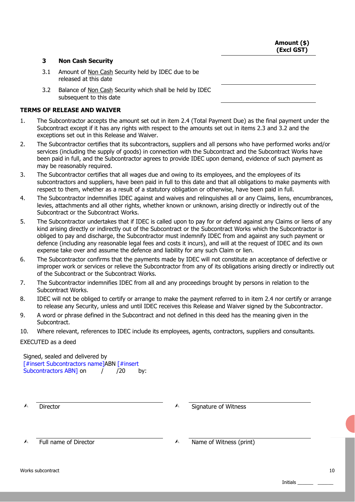**Amount (\$) (Excl GST)** 

## **3 Non Cash Security**

- 3.1 Amount of Non Cash Security held by IDEC due to be released at this date
- 3.2 Balance of Non Cash Security which shall be held by IDEC subsequent to this date

## **TERMS OF RELEASE AND WAIVER**

- 1. The Subcontractor accepts the amount set out in item 2.4 (Total Payment Due) as the final payment under the Subcontract except if it has any rights with respect to the amounts set out in items 2.3 and 3.2 and the exceptions set out in this Release and Waiver.
- 2. The Subcontractor certifies that its subcontractors, suppliers and all persons who have performed works and/or services (including the supply of goods) in connection with the Subcontract and the Subcontract Works have been paid in full, and the Subcontractor agrees to provide IDEC upon demand, evidence of such payment as may be reasonably required.
- 3. The Subcontractor certifies that all wages due and owing to its employees, and the employees of its subcontractors and suppliers, have been paid in full to this date and that all obligations to make payments with respect to them, whether as a result of a statutory obligation or otherwise, have been paid in full.
- 4. The Subcontractor indemnifies IDEC against and waives and relinquishes all or any Claims, liens, encumbrances, levies, attachments and all other rights, whether known or unknown, arising directly or indirectly out of the Subcontract or the Subcontract Works.
- 5. The Subcontractor undertakes that if IDEC is called upon to pay for or defend against any Claims or liens of any kind arising directly or indirectly out of the Subcontract or the Subcontract Works which the Subcontractor is obliged to pay and discharge, the Subcontractor must indemnify IDEC from and against any such payment or defence (including any reasonable legal fees and costs it incurs), and will at the request of IDEC and its own expense take over and assume the defence and liability for any such Claim or lien.
- 6. The Subcontractor confirms that the payments made by IDEC will not constitute an acceptance of defective or improper work or services or relieve the Subcontractor from any of its obligations arising directly or indirectly out of the Subcontract or the Subcontract Works.
- 7. The Subcontractor indemnifies IDEC from all and any proceedings brought by persons in relation to the Subcontract Works.
- 8. IDEC will not be obliged to certify or arrange to make the payment referred to in item 2.4 nor certify or arrange to release any Security, unless and until IDEC receives this Release and Waiver signed by the Subcontractor.
- 9. A word or phrase defined in the Subcontract and not defined in this deed has the meaning given in the Subcontract.
- 10. Where relevant, references to IDEC include its employees, agents, contractors, suppliers and consultants.

### EXECUTED as a deed

Signed, sealed and delivered by [#insert Subcontractors name]ABN [#insert Subcontractors ABN] on  $(20 - 1)$ Subcontractors ABN1 on  $($   $/$   $/$   $/$ 20 by:

 $\wedge$  Director  $\wedge$  Signature of Witness

Full name of Director  $\triangle$  Name of Witness (print)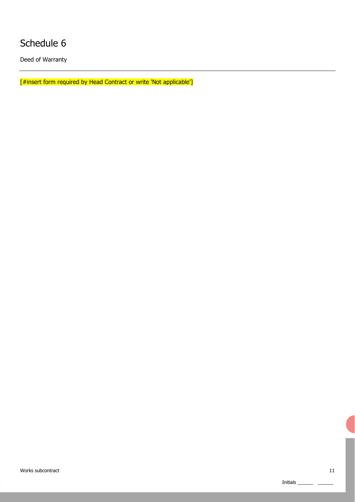Deed of Warranty

[#insert form required by Head Contract or write 'Not applicable']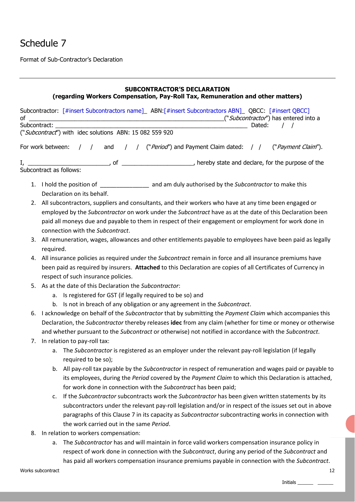Format of Sub-Contractor's Declaration

## **SUBCONTRACTOR'S DECLARATION (regarding Workers Compensation, Pay-Roll Tax, Remuneration and other matters)**

| οf |                   | Subcontractor: [#insert Subcontractors name]_ ABN:[#insert Subcontractors ABN]_ QBCC: [#insert QBCC]<br>("Subcontractor") has entered into a |
|----|-------------------|----------------------------------------------------------------------------------------------------------------------------------------------|
|    | Subcontract:      | Dated:                                                                                                                                       |
|    |                   | ("Subcontract") with idec solutions ABN: 15 082 559 920                                                                                      |
|    | For work between: | and / / ("Period") and Payment Claim dated: / /<br>$\left  \begin{array}{c} \end{array} \right $<br>("Payment Claim").                       |
|    |                   |                                                                                                                                              |
|    |                   |                                                                                                                                              |
|    |                   |                                                                                                                                              |
|    |                   | Declaration on its behalf.                                                                                                                   |
|    |                   | 2. All subcontractors, suppliers and consultants, and their workers who have at any time been engaged or                                     |
|    |                   | employed by the Subcontractor on work under the Subcontract have as at the date of this Declaration been                                     |
|    |                   | paid all moneys due and payable to them in respect of their engagement or employment for work done in                                        |
|    |                   | connection with the Subcontract.                                                                                                             |
|    | required.         | 3. All remuneration, wages, allowances and other entitlements payable to employees have been paid as legally                                 |
|    |                   | 4. All insurance policies as required under the Subcontract remain in force and all insurance premiums have                                  |
|    |                   | been paid as required by insurers. Attached to this Declaration are copies of all Certificates of Currency in                                |
|    |                   | respect of such insurance policies.                                                                                                          |
| 5. |                   | As at the date of this Declaration the Subcontractor:                                                                                        |
|    |                   | a. Is registered for GST (if legally required to be so) and                                                                                  |
|    |                   | b. Is not in breach of any obligation or any agreement in the Subcontract.                                                                   |
| 6. |                   | I acknowledge on behalf of the Subcontractor that by submitting the Payment Claim which accompanies this                                     |
|    |                   | Declaration, the Subcontractor thereby releases idec from any claim (whether for time or money or otherwise                                  |
|    |                   | and whether pursuant to the Subcontract or otherwise) not notified in accordance with the Subcontract.                                       |
|    |                   | 7. In relation to pay-roll tax:                                                                                                              |
|    |                   | a. The Subcontractor is registered as an employer under the relevant pay-roll legislation (if legally                                        |
|    |                   | required to be so);                                                                                                                          |
|    |                   | b. All pay-roll tax payable by the Subcontractor in respect of remuneration and wages paid or payable to                                     |
|    |                   | its employees, during the Period covered by the Payment Claim to which this Declaration is attached,                                         |
|    |                   | for work done in connection with the Subcontract has been paid;                                                                              |
|    | c.                | If the Subcontractor subcontracts work the Subcontractor has been given written statements by its                                            |
|    |                   | subcontractors under the relevant pay-roll legislation and/or in respect of the issues set out in above                                      |
|    |                   | paragraphs of this Clause 7 in its capacity as Subcontractor subcontracting works in connection with                                         |
|    |                   | the work carried out in the same Period.                                                                                                     |
| 8. |                   | In relation to workers compensation:                                                                                                         |
|    |                   | a. The Subcontractor has and will maintain in force valid workers compensation insurance policy in                                           |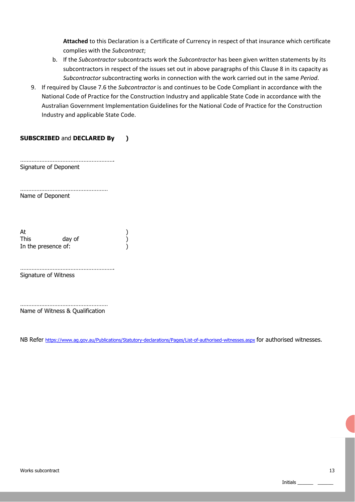**Attached** to this Declaration is a Certificate of Currency in respect of that insurance which certificate complies with the *Subcontract*;

- b. If the *Subcontractor* subcontracts work the *Subcontractor* has been given written statements by its subcontractors in respect of the issues set out in above paragraphs of this Clause 8 in its capacity as *Subcontractor* subcontracting works in connection with the work carried out in the same *Period*.
- 9. If required by Clause 7.6 the *Subcontractor* is and continues to be Code Compliant in accordance with the National Code of Practice for the Construction Industry and applicable State Code in accordance with the Australian Government Implementation Guidelines for the National Code of Practice for the Construction Industry and applicable State Code.

## **SUBSCRIBED** and **DECLARED By )**

…………………………………………………. Signature of Deponent

……………………………………………… Name of Deponent

At a contract of the contract of  $\lambda$ This day of (1) In the presence of:  $\qquad \qquad$ )

Signature of Witness

……………………………………………… Name of Witness & Qualification

………………………………………………….

NB Refer https://www.ag.gov.au/Publications/Statutory-declarations/Pages/List-of-authorised-witnesses.aspx for authorised witnesses.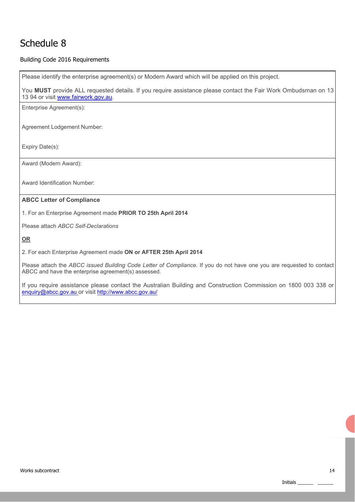## Building Code 2016 Requirements

Please identify the enterprise agreement(s) or Modern Award which will be applied on this project. You **MUST** provide ALL requested details. If you require assistance please contact the Fair Work Ombudsman on 13 13 94 or visit www.fairwork.gov.au. Enterprise Agreement(s): Agreement Lodgement Number: Expiry Date(s): Award (Modern Award): Award Identification Number: **ABCC Letter of Compliance**  1. For an Enterprise Agreement made **PRIOR TO 25th April 2014**  Please attach *ABCC Self-Declarations*  **OR**  2. For each Enterprise Agreement made **ON or AFTER 25th April 2014** Please attach the *ABCC issued Building Code Letter of Compliance*. If you do not have one you are requested to contact ABCC and have the enterprise agreement(s) assessed.

If you require assistance please contact the Australian Building and Construction Commission on 1800 003 338 or enquiry@abcc.gov.au or visit http://www.abcc.gov.au/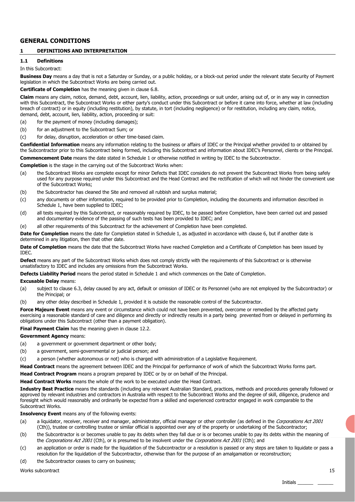## **GENERAL CONDITIONS**

### **1 DEFINITIONS AND INTERPRETATION**

## **1.1 Definitions**

#### In this Subcontract:

**Business Day** means a day that is not a Saturday or Sunday, or a public holiday, or a block-out period under the relevant state Security of Payment legislation in which the Subcontract Works are being carried out.

**Certificate of Completion** has the meaning given in clause 6.8.

**Claim** means any claim, notice, demand, debt, account, lien, liability, action, proceedings or suit under, arising out of, or in any way in connection with this Subcontract, the Subcontract Works or either party's conduct under this Subcontract or before it came into force, whether at law (including breach of contract) or in equity (including restitution), by statute, in tort (including negligence) or for restitution, including any claim, notice, demand, debt, account, lien, liability, action, proceeding or suit:

- (a) for the payment of money (including damages);
- (b) for an adjustment to the Subcontract Sum; or
- (c) for delay, disruption, acceleration or other time-based claim.

**Confidential Information** means any information relating to the business or affairs of IDEC or the Principal whether provided to or obtained by the Subcontractor prior to this Subcontract being formed, including this Subcontract and information about IDEC's Personnel, clients or the Principal. **Commencement Date** means the date stated in Schedule 1 or otherwise notified in writing by IDEC to the Subcontractor.

**Completion** is the stage in the carrying out of the Subcontract Works when:

- (a) the Subcontract Works are complete except for minor Defects that IDEC considers do not prevent the Subcontract Works from being safely used for any purpose required under this Subcontract and the Head Contract and the rectification of which will not hinder the convenient use of the Subcontract Works;
- (b) the Subcontractor has cleaned the Site and removed all rubbish and surplus material;
- (c) any documents or other information, required to be provided prior to Completion, including the documents and information described in Schedule 1, have been supplied to IDEC;
- (d) all tests required by this Subcontract, or reasonably required by IDEC, to be passed before Completion, have been carried out and passed and documentary evidence of the passing of such tests has been provided to IDEC; and
- (e) all other requirements of this Subcontract for the achievement of Completion have been completed.

Date for Completion means the date for Completion stated in Schedule 1, as adjusted in accordance with clause 6, but if another date is determined in any litigation, then that other date.

**Date of Completion** means the date that the Subcontract Works have reached Completion and a Certificate of Completion has been issued by IDEC.

**Defect** means any part of the Subcontract Works which does not comply strictly with the requirements of this Subcontract or is otherwise unsatisfactory to IDEC and includes any omissions from the Subcontract Works.

**Defects Liability Period** means the period stated in Schedule 1 and which commences on the Date of Completion.

#### **Excusable Delay** means:

- (a) subject to clause 6.3, delay caused by any act, default or omission of IDEC or its Personnel (who are not employed by the Subcontractor) or the Principal; or
- (b) any other delay described in Schedule 1, provided it is outside the reasonable control of the Subcontractor.

Force Majeure Event means any event or circumstance which could not have been prevented, overcome or remedied by the affected party exercising a reasonable standard of care and diligence and directly or indirectly results in a party being prevented from or delayed in performing its obligations under this Subcontract (other than a payment obligation).

**Final Payment Claim** has the meaning given in clause 12.2.

**Government Agency** means:

- (a) a government or government department or other body;
- (b) a government, semi-governmental or judicial person; and
- (c) a person (whether autonomous or not) who is charged with administration of a Legislative Requirement.

**Head Contract** means the agreement between IDEC and the Principal for performance of work of which the Subcontract Works forms part.

**Head Contract Program** means a program prepared by IDEC or by or on behalf of the Principal.

**Head Contract Works** means the whole of the work to be executed under the Head Contract.

**Industry Best Practice** means the standards (including any relevant Australian Standard, practices, methods and procedures generally followed or approved by relevant industries and contractors in Australia with respect to the Subcontract Works and the degree of skill, diligence, prudence and foresight which would reasonably and ordinarily be expected from a skilled and experienced contractor engaged in work comparable to the Subcontract Works.

**Insolvency Event** means any of the following events:

- (a) a liquidator, receiver, receiver and manager, administrator, official manager or other controller (as defined in the Corporations Act 2001 (Cth)), trustee or controlling trustee or similar official is appointed over any of the property or undertaking of the Subcontractor;
- (b) the Subcontractor is or becomes unable to pay its debts when they fall due or is or becomes unable to pay its debts within the meaning of the Corporations Act 2001 (Cth), or is presumed to be insolvent under the Corporations Act 2001 (Cth); and
- (c) an application or order is made for the liquidation of the Subcontractor or a resolution is passed or any steps are taken to liquidate or pass a resolution for the liquidation of the Subcontractor, otherwise than for the purpose of an amalgamation or reconstruction;
- (d) the Subcontractor ceases to carry on business;

Works subcontract 15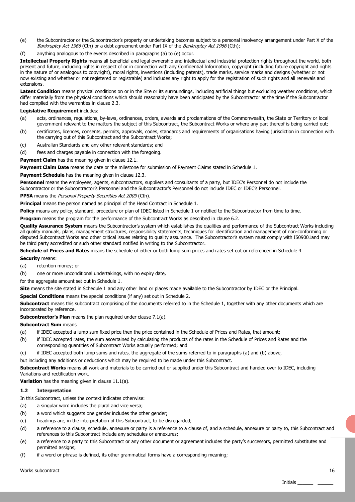- (e) the Subcontractor or the Subcontractor's property or undertaking becomes subject to a personal insolvency arrangement under Part X of the Bankruptcy Act 1966 (Cth) or a debt agreement under Part IX of the Bankruptcy Act 1966 (Cth);
- (f) anything analogous to the events described in paragraphs (a) to (e) occur.

**Intellectual Property Rights** means all beneficial and legal ownership and intellectual and industrial protection rights throughout the world, both present and future, including rights in respect of or in connection with any Confidential Information, copyright (including future copyright and rights in the nature of or analogous to copyright), moral rights, inventions (including patents), trade marks, service marks and designs (whether or not now existing and whether or not registered or registrable) and includes any right to apply for the registration of such rights and all renewals and extensions.

Latent Condition means physical conditions on or in the Site or its surroundings, including artificial things but excluding weather conditions, which differ materially from the physical conditions which should reasonably have been anticipated by the Subcontractor at the time if the Subcontractor had complied with the warranties in clause 2.3.

### **Legislative Requirement** includes:

- (a) acts, ordinances, regulations, by-laws, ordinances, orders, awards and proclamations of the Commonwealth, the State or Territory or local government relevant to the matters the subject of this Subcontract, the Subcontract Works or where any part thereof is being carried out;
- (b) certificates, licences, consents, permits, approvals, codes, standards and requirements of organisations having jurisdiction in connection with the carrying out of this Subcontract and the Subcontract Works;
- (c) Australian Standards and any other relevant standards; and
- (d) fees and charges payable in connection with the foregoing.

Payment Claim has the meaning given in clause 12.1.

**Payment Claim Date** means the date or the milestone for submission of Payment Claims stated in Schedule 1.

**Payment Schedule** has the meaning given in clause 12.3.

**Personnel** means the employees, agents, subcontractors, suppliers and consultants of a party, but IDEC's Personnel do not include the Subcontractor or the Subcontractor's Personnel and the Subcontractor's Personnel do not include IDEC or IDEC's Personnel.

**PPSA** means the Personal Property Securities Act 2009 (Cth).

**Principal** means the person named as principal of the Head Contract in Schedule 1.

Policy means any policy, standard, procedure or plan of IDEC listed in Schedule 1 or notified to the Subcontractor from time to time.

**Program** means the program for the performance of the Subcontract Works as described in clause 6.2.

**Quality Assurance System** means the Subcontractor's system which establishes the qualities and performance of the Subcontract Works including all quality manuals, plans, management structures, responsibility statements, techniques for identification and management of non-conforming or disputed Subcontract Works and other critical issues relating to quality assurance. The Subcontractor's system must comply with IS09001and may be third party accredited or such other standard notified in writing to the Subcontractor.

**Schedule of Prices and Rates** means the schedule of either or both lump sum prices and rates set out or referenced in Schedule 4.

#### **Security** means:

(a) retention money; or

(b) one or more unconditional undertakings, with no expiry date,

for the aggregate amount set out in Schedule 1.

**Site** means the site stated in Schedule 1 and any other land or places made available to the Subcontractor by IDEC or the Principal.

**Special Conditions** means the special conditions (if any) set out in Schedule 2.

**Subcontract** means this subcontract comprising of the documents referred to in the Schedule 1, together with any other documents which are incorporated by reference.

**Subcontractor's Plan** means the plan required under clause 7.1(a).

#### **Subcontract Sum** means

- (a) if IDEC accepted a lump sum fixed price then the price contained in the Schedule of Prices and Rates, that amount;
- (b) if IDEC accepted rates, the sum ascertained by calculating the products of the rates in the Schedule of Prices and Rates and the corresponding quantities of Subcontract Works actually performed; and
- (c) if IDEC accepted both lump sums and rates, the aggregate of the sums referred to in paragraphs (a) and (b) above,

but including any additions or deductions which may be required to be made under this Subcontract.

**Subcontract Works** means all work and materials to be carried out or supplied under this Subcontract and handed over to IDEC, including Variations and rectification work.

**Variation** has the meaning given in clause 11.1(a).

#### **1.2 Interpretation**

In this Subcontract, unless the context indicates otherwise:

- (a) a singular word includes the plural and vice versa;
- (b) a word which suggests one gender includes the other gender;
- (c) headings are, in the interpretation of this Subcontract, to be disregarded;
- (d) a reference to a clause, schedule, annexure or party is a reference to a clause of, and a schedule, annexure or party to, this Subcontract and references to this Subcontract include any schedules or annexures;
- (e) a reference to a party to this Subcontract or any other document or agreement includes the party's successors, permitted substitutes and permitted assigns;
- (f) if a word or phrase is defined, its other grammatical forms have a corresponding meaning;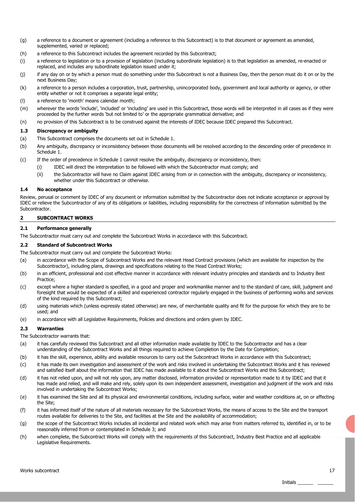- (g) a reference to a document or agreement (including a reference to this Subcontract) is to that document or agreement as amended, supplemented, varied or replaced;
- (h) a reference to this Subcontract includes the agreement recorded by this Subcontract;
- (i) a reference to legislation or to a provision of legislation (including subordinate legislation) is to that legislation as amended, re-enacted or replaced, and includes any subordinate legislation issued under it;
- (j) if any day on or by which a person must do something under this Subcontract is not a Business Day, then the person must do it on or by the next Business Day;
- (k) a reference to a person includes a corporation, trust, partnership, unincorporated body, government and local authority or agency, or other entity whether or not it comprises a separate legal entity;
- (l) a reference to 'month' means calendar month;
- (m) wherever the words 'include', 'included' or 'including' are used in this Subcontract, those words will be interpreted in all cases as if they were proceeded by the further words 'but not limited to' or the appropriate grammatical derivative; and
- (n) no provision of this Subcontract is to be construed against the interests of IDEC because IDEC prepared this Subcontract.

#### **1.3 Discrepancy or ambiguity**

- (a) This Subcontract comprises the documents set out in Schedule 1.
- (b) Any ambiguity, discrepancy or inconsistency between those documents will be resolved according to the descending order of precedence in Schedule 1.
- (c) If the order of precedence in Schedule 1 cannot resolve the ambiguity, discrepancy or inconsistency, then:
	- (i) IDEC will direct the interpretation to be followed with which the Subcontractor must comply; and
	- (ii) the Subcontractor will have no Claim against IDEC arising from or in connection with the ambiguity, discrepancy or inconsistency, whether under this Subcontract or otherwise.

#### **1.4 No acceptance**

Review, perusal or comment by IDEC of any document or information submitted by the Subcontractor does not indicate acceptance or approval by IDEC or relieve the Subcontractor of any of its obligations or liabilities, including responsibility for the correctness of information submitted by the Subcontractor.

#### **2 SUBCONTRACT WORKS**

## **2.1 Performance generally**

The Subcontractor must carry out and complete the Subcontract Works in accordance with this Subcontract.

#### **2.2 Standard of Subcontract Works**

The Subcontractor must carry out and complete the Subcontract Works:

- (a) in accordance with the Scope of Subcontract Works and the relevant Head Contract provisions (which are available for inspection by the Subcontractor), including plans, drawings and specifications relating to the Head Contract Works;
- (b) in an efficient, professional and cost effective manner in accordance with relevant industry principles and standards and to Industry Best Practice;
- (c) except where a higher standard is specified, in a good and proper and workmanlike manner and to the standard of care, skill, judgment and foresight that would be expected of a skilled and experienced contractor regularly engaged in the business of performing works and services of the kind required by this Subcontract;
- (d) using materials which (unless expressly stated otherwise) are new, of merchantable quality and fit for the purpose for which they are to be used; and
- (e) in accordance with all Legislative Requirements, Policies and directions and orders given by IDEC.

#### **2.3 Warranties**

The Subcontractor warrants that:

- (a) it has carefully reviewed this Subcontract and all other information made available by IDEC to the Subcontractor and has a clear understanding of the Subcontract Works and all things required to achieve Completion by the Date for Completion;
- (b) it has the skill, experience, ability and available resources to carry out the Subcontract Works in accordance with this Subcontract;
- (c) it has made its own investigation and assessment of the work and risks involved in undertaking the Subcontract Works and it has reviewed and satisfied itself about the information that IDEC has made available to it about the Subcontract Works and this Subcontract;
- (d) it has not relied upon, and will not rely upon, any matter disclosed, information provided or representation made to it by IDEC and that it has made and relied, and will make and rely, solely upon its own independent assessment, investigation and judgment of the work and risks involved in undertaking the Subcontract Works;
- (e) it has examined the Site and all its physical and environmental conditions, including surface, water and weather conditions at, on or affecting the Site;
- (f) it has informed itself of the nature of all materials necessary for the Subcontract Works, the means of access to the Site and the transport routes available for deliveries to the Site, and facilities at the Site and the availability of accommodation;
- (g) the scope of the Subcontract Works includes all incidental and related work which may arise from matters referred to, identified in, or to be reasonably inferred from or contemplated in Schedule 3; and
- (h) when complete, the Subcontract Works will comply with the requirements of this Subcontract, Industry Best Practice and all applicable Legislative Requirements.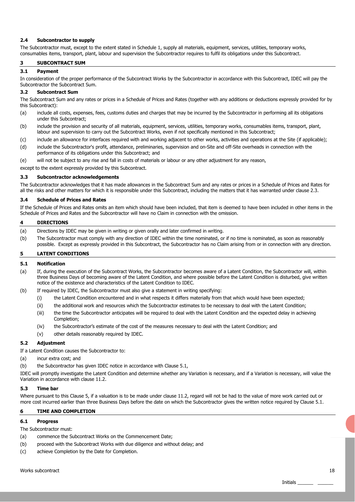#### **2.4 Subcontractor to supply**

The Subcontractor must, except to the extent stated in Schedule 1, supply all materials, equipment, services, utilities, temporary works, consumables items, transport, plant, labour and supervision the Subcontractor requires to fulfil its obligations under this Subcontract.

#### **3 SUBCONTRACT SUM**

#### **3.1 Payment**

In consideration of the proper performance of the Subcontract Works by the Subcontractor in accordance with this Subcontract, IDEC will pay the Subcontractor the Subcontract Sum.

#### **3.2 Subcontract Sum**

The Subcontract Sum and any rates or prices in a Schedule of Prices and Rates (together with any additions or deductions expressly provided for by this Subcontract):

- (a) include all costs, expenses, fees, customs duties and charges that may be incurred by the Subcontractor in performing all its obligations under this Subcontract;
- (b) include the provision and security of all materials, equipment, services, utilities, temporary works, consumables items, transport, plant, labour and supervision to carry out the Subcontract Works, even if not specifically mentioned in this Subcontract;
- (c) include an allowance for interfaces required with and working adjacent to other works, activities and operations at the Site (if applicable);
- (d) include the Subcontractor's profit, attendance, preliminaries, supervision and on-Site and off-Site overheads in connection with the performance of its obligations under this Subcontract; and
- (e) will not be subject to any rise and fall in costs of materials or labour or any other adjustment for any reason,

except to the extent expressly provided by this Subcontract.

#### **3.3 Subcontractor acknowledgements**

The Subcontractor acknowledges that it has made allowances in the Subcontract Sum and any rates or prices in a Schedule of Prices and Rates for all the risks and other matters for which it is responsible under this Subcontract, including the matters that it has warranted under clause 2.3.

#### **3.4 Schedule of Prices and Rates**

If the Schedule of Prices and Rates omits an item which should have been included, that item is deemed to have been included in other items in the Schedule of Prices and Rates and the Subcontractor will have no Claim in connection with the omission.

#### **4 DIRECTIONS**

- (a) Directions by IDEC may be given in writing or given orally and later confirmed in writing.
- (b) The Subcontractor must comply with any direction of IDEC within the time nominated, or if no time is nominated, as soon as reasonably possible. Except as expressly provided in this Subcontract, the Subcontractor has no Claim arising from or in connection with any direction.

### **5 LATENT CONDITIONS**

#### **5.1 Notification**

- (a) If, during the execution of the Subcontract Works, the Subcontractor becomes aware of a Latent Condition, the Subcontractor will, within three Business Days of becoming aware of the Latent Condition, and where possible before the Latent Condition is disturbed, give written notice of the existence and characteristics of the Latent Condition to IDEC.
- (b) If required by IDEC, the Subcontractor must also give a statement in writing specifying:
	- (i) the Latent Condition encountered and in what respects it differs materially from that which would have been expected;
	- (ii) the additional work and resources which the Subcontractor estimates to be necessary to deal with the Latent Condition;
	- (iii) the time the Subcontractor anticipates will be required to deal with the Latent Condition and the expected delay in achieving Completion;
	- (iv) the Subcontractor's estimate of the cost of the measures necessary to deal with the Latent Condition; and
	- (v) other details reasonably required by IDEC.

#### **5.2 Adjustment**

If a Latent Condition causes the Subcontractor to:

- (a) incur extra cost; and
- (b) the Subcontractor has given IDEC notice in accordance with Clause 5.1,

IDEC will promptly investigate the Latent Condition and determine whether any Variation is necessary, and if a Variation is necessary, will value the Variation in accordance with clause 11.2.

#### **5.3 Time bar**

Where pursuant to this Clause 5, if a valuation is to be made under clause 11.2, regard will not be had to the value of more work carried out or more cost incurred earlier than three Business Days before the date on which the Subcontractor gives the written notice required by Clause 5.1.

#### **6 TIME AND COMPLETION**

#### **6.1 Progress**

The Subcontractor must:

- (a) commence the Subcontract Works on the Commencement Date;
- (b) proceed with the Subcontract Works with due diligence and without delay; and
- (c) achieve Completion by the Date for Completion.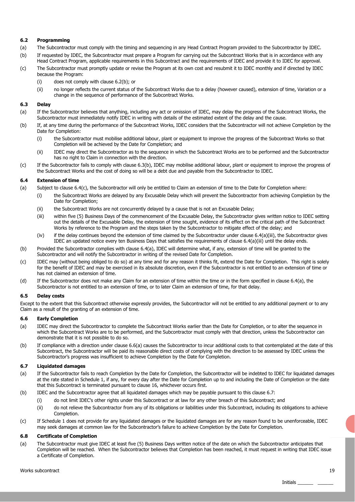### **6.2 Programming**

- (a) The Subcontractor must comply with the timing and sequencing in any Head Contract Program provided to the Subcontractor by IDEC.
- (b) If requested by IDEC, the Subcontractor must prepare a Program for carrying out the Subcontract Works that is in accordance with any
- Head Contract Program, applicable requirements in this Subcontract and the requirements of IDEC and provide it to IDEC for approval. (c) The Subcontractor must promptly update or revise the Program at its own cost and resubmit it to IDEC monthly and if directed by IDEC because the Program:
	- (i) does not comply with clause 6.2(b); or
	- (ii) no longer reflects the current status of the Subcontract Works due to a delay (however caused), extension of time, Variation or a change in the sequence of performance of the Subcontract Works.

#### **6.3 Delay**

- (a) If the Subcontractor believes that anything, including any act or omission of IDEC, may delay the progress of the Subcontract Works, the Subcontractor must immediately notify IDEC in writing with details of the estimated extent of the delay and the cause.
- (b) If, at any time during the performance of the Subcontract Works, IDEC considers that the Subcontractor will not achieve Completion by the Date for Completion:
	- (i) the Subcontractor must mobilise additional labour, plant or equipment to improve the progress of the Subcontract Works so that Completion will be achieved by the Date for Completion; and
	- (ii) IDEC may direct the Subcontractor as to the sequence in which the Subcontract Works are to be performed and the Subcontractor has no right to Claim in connection with the direction.
- (c) If the Subcontractor fails to comply with clause 6.3(b), IDEC may mobilise additional labour, plant or equipment to improve the progress of the Subcontract Works and the cost of doing so will be a debt due and payable from the Subcontractor to IDEC.

#### **6.4 Extension of time**

- (a) Subject to clause 6.4(c), the Subcontractor will only be entitled to Claim an extension of time to the Date for Completion where:
	- (i) the Subcontract Works are delayed by any Excusable Delay which will prevent the Subcontractor from achieving Completion by the Date for Completion;
		- (ii) the Subcontract Works are not concurrently delayed by a cause that is not an Excusable Delay;
		- (iii) within five (5) Business Days of the commencement of the Excusable Delay, the Subcontractor gives written notice to IDEC setting out the details of the Excusable Delay, the extension of time sought, evidence of its effect on the critical path of the Subcontract Works by reference to the Program and the steps taken by the Subcontractor to mitigate effect of the delay; and
		- (iv) if the delay continues beyond the extension of time claimed by the Subcontractor under clause 6.4(a)(iii), the Subcontractor gives IDEC an updated notice every ten Business Days that satisfies the requirements of clause 6.4(a)(iii) until the delay ends.
- (b) Provided the Subcontractor complies with clause 6.4(a), IDEC will determine what, if any, extension of time will be granted to the Subcontractor and will notify the Subcontractor in writing of the revised Date for Completion.
- (c) IDEC may (without being obliged to do so) at any time and for any reason it thinks fit, extend the Date for Completion. This right is solely for the benefit of IDEC and may be exercised in its absolute discretion, even if the Subcontractor is not entitled to an extension of time or has not claimed an extension of time.
- (d) If the Subcontractor does not make any Claim for an extension of time within the time or in the form specified in clause 6.4(a), the Subcontractor is not entitled to an extension of time, or to later Claim an extension of time, for that delay.

#### **6.5 Delay costs**

Except to the extent that this Subcontract otherwise expressly provides, the Subcontractor will not be entitled to any additional payment or to any Claim as a result of the granting of an extension of time.

#### **6.6 Early Completion**

- (a) IDEC may direct the Subcontractor to complete the Subcontract Works earlier than the Date for Completion, or to alter the sequence in which the Subcontract Works are to be performed, and the Subcontractor must comply with that direction, unless the Subcontractor can demonstrate that it is not possible to do so.
- (b) If compliance with a direction under clause 6.6(a) causes the Subcontractor to incur additional costs to that contemplated at the date of this Subcontract, the Subcontractor will be paid its reasonable direct costs of complying with the direction to be assessed by IDEC unless the Subcontractor's progress was insufficient to achieve Completion by the Date for Completion.

#### **6.7 Liquidated damages**

- (a) If the Subcontractor fails to reach Completion by the Date for Completion, the Subcontractor will be indebted to IDEC for liquidated damages at the rate stated in Schedule 1, if any, for every day after the Date for Completion up to and including the Date of Completion or the date that this Subcontract is terminated pursuant to clause 16, whichever occurs first.
- (b) IDEC and the Subcontractor agree that all liquidated damages which may be payable pursuant to this clause 6.7:
	- (i) do not limit IDEC's other rights under this Subcontract or at law for any other breach of this Subcontract; and
	- (ii) do not relieve the Subcontractor from any of its obligations or liabilities under this Subcontract, including its obligations to achieve Completion
- (c) If Schedule 1 does not provide for any liquidated damages or the liquidated damages are for any reason found to be unenforceable, IDEC may seek damages at common law for the Subcontractor's failure to achieve Completion by the Date for Completion.

#### **6.8 Certificate of Completion**

(a) The Subcontractor must give IDEC at least five (5) Business Days written notice of the date on which the Subcontractor anticipates that Completion will be reached. When the Subcontractor believes that Completion has been reached, it must request in writing that IDEC issue a Certificate of Completion.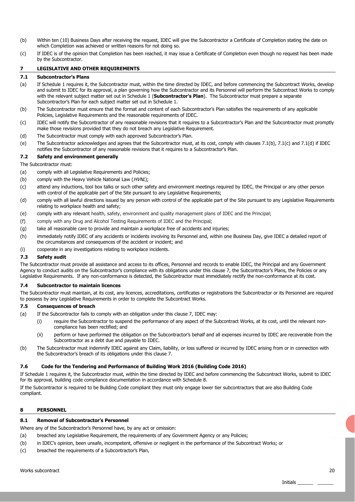- (b) Within ten (10) Business Days after receiving the request, IDEC will give the Subcontractor a Certificate of Completion stating the date on which Completion was achieved or written reasons for not doing so.
- (c) If IDEC is of the opinion that Completion has been reached, it may issue a Certificate of Completion even though no request has been made by the Subcontractor.

### **7 LEGISLATIVE AND OTHER REQUIREMENTS**

#### **7.1 Subcontractor's Plans**

- (a) If Schedule 1 requires it, the Subcontractor must, within the time directed by IDEC, and before commencing the Subcontract Works, develop and submit to IDEC for its approval, a plan governing how the Subcontractor and its Personnel will perform the Subcontract Works to comply with the relevant subject matter set out in Schedule 1 (**Subcontractor's Plan**). The Subcontractor must prepare a separate Subcontractor's Plan for each subject matter set out in Schedule 1.
- (b) The Subcontractor must ensure that the format and content of each Subcontractor's Plan satisfies the requirements of any applicable Policies, Legislative Requirements and the reasonable requirements of IDEC.
- (c) IDEC will notify the Subcontractor of any reasonable revisions that it requires to a Subcontractor's Plan and the Subcontractor must promptly make those revisions provided that they do not breach any Legislative Requirement.
- (d) The Subcontractor must comply with each approved Subcontractor's Plan.
- (e) The Subcontractor acknowledges and agrees that the Subcontractor must, at its cost, comply with clauses 7.1(b), 7.1(c) and 7.1(d) if IDEC notifies the Subcontractor of any reasonable revisions that it requires to a Subcontractor's Plan.

#### **7.2 Safety and environment generally**

#### The Subcontractor must:

- (a) comply with all Legislative Requirements and Policies;
- (b) comply with the Heavy Vehicle National Law  $(HVNL)$ :
- (c) attend any inductions, tool box talks or such other safety and environment meetings required by IDEC, the Principal or any other person with control of the applicable part of the Site pursuant to any Legislative Requirements;
- (d) comply with all lawful directions issued by any person with control of the applicable part of the Site pursuant to any Legislative Requirements relating to workplace health and safety;
- (e) comply with any relevant health, safety, environment and quality management plans of IDEC and the Principal;
- (f) comply with any Drug and Alcohol Testing Requirements of IDEC and the Principal;
- (g) take all reasonable care to provide and maintain a workplace free of accidents and injuries;
- (h) immediately notify IDEC of any accidents or incidents involving its Personnel and, within one Business Day, give IDEC a detailed report of the circumstances and consequences of the accident or incident; and
- (i) cooperate in any investigations relating to workplace incidents.

#### **7.3 Safety audit**

The Subcontractor must provide all assistance and access to its offices, Personnel and records to enable IDEC, the Principal and any Government Agency to conduct audits on the Subcontractor's compliance with its obligations under this clause 7, the Subcontractor's Plans, the Policies or any Legislative Requirements. If any non-conformance is detected, the Subcontractor must immediately rectify the non-conformance at its cost.

#### **7.4 Subcontractor to maintain licences**

The Subcontractor must maintain, at its cost, any licences, accreditations, certificates or registrations the Subcontractor or its Personnel are required to possess by any Legislative Requirements in order to complete the Subcontract Works.

#### **7.5 Consequences of breach**

- (a) If the Subcontractor fails to comply with an obligation under this clause 7, IDEC may:
	- (i) require the Subcontractor to suspend the performance of any aspect of the Subcontract Works, at its cost, until the relevant noncompliance has been rectified; and
		- (ii) perform or have performed the obligation on the Subcontractor's behalf and all expenses incurred by IDEC are recoverable from the Subcontractor as a debt due and payable to IDEC.
- (b) The Subcontractor must indemnify IDEC against any Claim, liability, or loss suffered or incurred by IDEC arising from or in connection with the Subcontractor's breach of its obligations under this clause 7.

#### **7.6 Code for the Tendering and Performance of Building Work 2016 (Building Code 2016)**

If Schedule 1 requires it, the Subcontractor must, within the time directed by IDEC and before commencing the Subcontract Works, submit to IDEC for its approval, building code compliance documentation in accordance with Schedule 8.

If the Subcontractor is required to be Building Code compliant they must only engage lower tier subcontractors that are also Building Code compliant.

#### **8 PERSONNEL**

#### **8.1 Removal of Subcontractor's Personnel**

Where any of the Subcontractor's Personnel have, by any act or omission:

- (a) breached any Legislative Requirement, the requirements of any Government Agency or any Policies;
- (b) in IDEC's opinion, been unsafe, incompetent, offensive or negligent in the performance of the Subcontract Works; or
- (c) breached the requirements of a Subcontractor's Plan,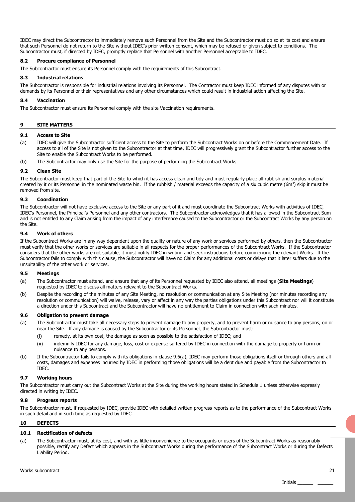IDEC may direct the Subcontractor to immediately remove such Personnel from the Site and the Subcontractor must do so at its cost and ensure that such Personnel do not return to the Site without IDEC's prior written consent, which may be refused or given subject to conditions. The Subcontractor must, if directed by IDEC, promptly replace that Personnel with another Personnel acceptable to IDEC.

#### **8.2 Procure compliance of Personnel**

The Subcontractor must ensure its Personnel comply with the requirements of this Subcontract.

#### **8.3 Industrial relations**

The Subcontractor is responsible for industrial relations involving its Personnel. The Contractor must keep IDEC informed of any disputes with or demands by its Personnel or their representatives and any other circumstances which could result in industrial action affecting the Site.

#### **8.4 Vaccination**

The Subcontractor must ensure its Personnel comply with the site Vaccination requirements.

#### **9 SITE MATTERS**

#### **9.1 Access to Site**

- (a) IDEC will give the Subcontractor sufficient access to the Site to perform the Subcontract Works on or before the Commencement Date. If access to all of the Site is not given to the Subcontractor at that time, IDEC will progressively grant the Subcontractor further access to the Site to enable the Subcontract Works to be performed.
- (b) The Subcontractor may only use the Site for the purpose of performing the Subcontract Works.

#### **9.2 Clean Site**

The Subcontractor must keep that part of the Site to which it has access clean and tidy and must regularly place all rubbish and surplus material created by it or its Personnel in the nominated waste bin. If the rubbish / material exceeds the capacity of a six cubic metre  $(6m^3)$  skip it must be removed from site.

#### **9.3 Coordination**

The Subcontractor will not have exclusive access to the Site or any part of it and must coordinate the Subcontract Works with activities of IDEC, IDEC's Personnel, the Principal's Personnel and any other contractors. The Subcontractor acknowledges that it has allowed in the Subcontract Sum and is not entitled to any Claim arising from the impact of any interference caused to the Subcontractor or the Subcontract Works by any person on the Site.

#### **9.4 Work of others**

If the Subcontract Works are in any way dependent upon the quality or nature of any work or services performed by others, then the Subcontractor must verify that the other works or services are suitable in all respects for the proper performances of the Subcontract Works. If the Subcontractor considers that the other works are not suitable, it must notify IDEC in writing and seek instructions before commencing the relevant Works. If the Subcontractor fails to comply with this clause, the Subcontractor will have no Claim for any additional costs or delays that it later suffers due to the unsuitability of the other work or services.

#### **9.5 Meetings**

- (a) The Subcontractor must attend, and ensure that any of its Personnel requested by IDEC also attend, all meetings (**Site Meetings**) requested by IDEC to discuss all matters relevant to the Subcontract Works.
- (b) Despite the recording of the minutes of any Site Meeting, no resolution or communication at any Site Meeting (nor minutes recording any resolution or communication) will waive, release, vary or affect in any way the parties obligations under this Subcontract nor will it constitute a direction under this Subcontract and the Subcontractor will have no entitlement to Claim in connection with such minutes.

#### **9.6 Obligation to prevent damage**

- (a) The Subcontractor must take all necessary steps to prevent damage to any property, and to prevent harm or nuisance to any persons, on or near the Site. If any damage is caused by the Subcontractor or its Personnel, the Subcontractor must:
	- (i) remedy, at its own cost, the damage as soon as possible to the satisfaction of IDEC; and
	- (ii) indemnify IDEC for any damage, loss, cost or expense suffered by IDEC in connection with the damage to property or harm or nuisance to any persons.
- (b) If the Subcontractor fails to comply with its obligations in clause 9.6(a), IDEC may perform those obligations itself or through others and all costs, damages and expenses incurred by IDEC in performing those obligations will be a debt due and payable from the Subcontractor to IDEC.

#### **9.7 Working hours**

The Subcontractor must carry out the Subcontract Works at the Site during the working hours stated in Schedule 1 unless otherwise expressly directed in writing by IDEC.

#### **9.8 Progress reports**

The Subcontractor must, if requested by IDEC, provide IDEC with detailed written progress reports as to the performance of the Subcontract Works in such detail and in such time as requested by IDEC.

#### **10 DEFECTS**

#### **10.1 Rectification of defects**

(a) The Subcontractor must, at its cost, and with as little inconvenience to the occupants or users of the Subcontract Works as reasonably possible, rectify any Defect which appears in the Subcontract Works during the performance of the Subcontract Works or during the Defects Liability Period.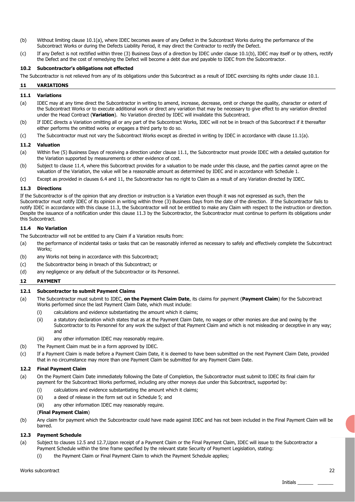- (b) Without limiting clause 10.1(a), where IDEC becomes aware of any Defect in the Subcontract Works during the performance of the Subcontract Works or during the Defects Liability Period, it may direct the Contractor to rectify the Defect.
- (c) If any Defect is not rectified within three (3) Business Days of a direction by IDEC under clause 10.1(b), IDEC may itself or by others, rectify the Defect and the cost of remedying the Defect will become a debt due and payable to IDEC from the Subcontractor.

#### **10.2 Subcontractor's obligations not effected**

The Subcontractor is not relieved from any of its obligations under this Subcontract as a result of IDEC exercising its rights under clause 10.1.

#### **11 VARIATIONS**

#### **11.1 Variations**

- (a) IDEC may at any time direct the Subcontractor in writing to amend, increase, decrease, omit or change the quality, character or extent of the Subcontract Works or to execute additional work or direct any variation that may be necessary to give effect to any variation directed under the Head Contract (**Variation**). No Variation directed by IDEC will invalidate this Subcontract.
- (b) If IDEC directs a Variation omitting all or any part of the Subcontract Works, IDEC will not be in breach of this Subcontract if it thereafter either performs the omitted works or engages a third party to do so.
- (c) The Subcontractor must not vary the Subcontract Works except as directed in writing by IDEC in accordance with clause 11.1(a).

#### **11.2 Valuation**

- (a) Within five (5) Business Days of receiving a direction under clause 11.1, the Subcontractor must provide IDEC with a detailed quotation for the Variation supported by measurements or other evidence of cost.
- (b) Subject to clause 11.4, where this Subcontract provides for a valuation to be made under this clause, and the parties cannot agree on the valuation of the Variation, the value will be a reasonable amount as determined by IDEC and in accordance with Schedule 1.
- (c) Except as provided in clauses 6.4 and 11, the Subcontractor has no right to Claim as a result of any Variation directed by IDEC.

#### **11.3 Directions**

If the Subcontractor is of the opinion that any direction or instruction is a Variation even though it was not expressed as such, then the Subcontractor must notify IDEC of its opinion in writing within three (3) Business Days from the date of the direction. If the Subcontractor fails to notify IDEC in accordance with this clause 11.3, the Subcontractor will not be entitled to make any Claim with respect to the instruction or direction. Despite the issuance of a notification under this clause 11.3 by the Subcontractor, the Subcontractor must continue to perform its obligations under this Subcontract.

#### **11.4 No Variation**

The Subcontractor will not be entitled to any Claim if a Variation results from:

- (a) the performance of incidental tasks or tasks that can be reasonably inferred as necessary to safely and effectively complete the Subcontract Works;
- (b) any Works not being in accordance with this Subcontract;
- (c) the Subcontractor being in breach of this Subcontract; or
- (d) any negligence or any default of the Subcontractor or its Personnel.

#### **12 PAYMENT**

#### **12.1 Subcontractor to submit Payment Claims**

- (a) The Subcontractor must submit to IDEC, **on the Payment Claim Date**, its claims for payment (**Payment Claim**) for the Subcontract Works performed since the last Payment Claim Date, which must include:
	- (i) calculations and evidence substantiating the amount which it claims;
	- (ii) a statutory declaration which states that as at the Payment Claim Date, no wages or other monies are due and owing by the Subcontractor to its Personnel for any work the subject of that Payment Claim and which is not misleading or deceptive in any way; and
	- (iii) any other information IDEC may reasonably require.
- (b) The Payment Claim must be in a form approved by IDEC.
- (c) If a Payment Claim is made before a Payment Claim Date, it is deemed to have been submitted on the next Payment Claim Date, provided that in no circumstance may more than one Payment Claim be submitted for any Payment Claim Date.

#### **12.2 Final Payment Claim**

- (a) On the Payment Claim Date immediately following the Date of Completion, the Subcontractor must submit to IDEC its final claim for payment for the Subcontract Works performed, including any other moneys due under this Subcontract, supported by:
	- (i) calculations and evidence substantiating the amount which it claims;
	- (ii) a deed of release in the form set out in Schedule 5; and
	- (iii) any other information IDEC may reasonably require.

#### (**Final Payment Claim**)

(b) Any claim for payment which the Subcontractor could have made against IDEC and has not been included in the Final Payment Claim will be barred.

#### **12.3 Payment Schedule**

- (a) Subject to clauses 12.5 and 12.7,Upon receipt of a Payment Claim or the Final Payment Claim, IDEC will issue to the Subcontractor a Payment Schedule within the time frame specified by the relevant state Security of Payment Legislation, stating:
	- (i) the Payment Claim or Final Payment Claim to which the Payment Schedule applies;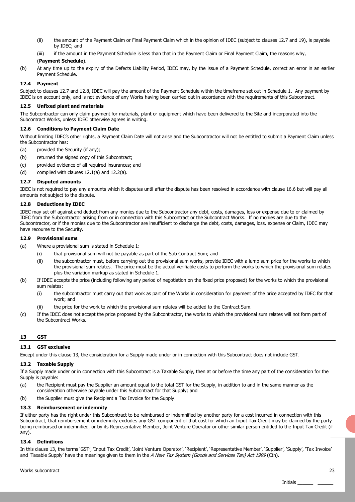- (ii) the amount of the Payment Claim or Final Payment Claim which in the opinion of IDEC (subject to clauses 12.7 and 19), is payable by IDEC; and
- (iii) if the amount in the Payment Schedule is less than that in the Payment Claim or Final Payment Claim, the reasons why,

#### (**Payment Schedule**).

(b) At any time up to the expiry of the Defects Liability Period, IDEC may, by the issue of a Payment Schedule, correct an error in an earlier Payment Schedule.

#### **12.4 Payment**

Subject to clauses 12.7 and 12.8, IDEC will pay the amount of the Payment Schedule within the timeframe set out in Schedule 1. Any payment by IDEC is on account only, and is not evidence of any Works having been carried out in accordance with the requirements of this Subcontract.

#### **12.5 Unfixed plant and materials**

The Subcontractor can only claim payment for materials, plant or equipment which have been delivered to the Site and incorporated into the Subcontract Works, unless IDEC otherwise agrees in writing.

#### **12.6 Conditions to Payment Claim Date**

Without limiting IDEC's other rights, a Payment Claim Date will not arise and the Subcontractor will not be entitled to submit a Payment Claim unless the Subcontractor has:

- (a) provided the Security (if any);
- (b) returned the signed copy of this Subcontract;
- (c) provided evidence of all required insurances; and
- (d) complied with clauses 12.1(a) and 12.2(a).

#### **12.7 Disputed amounts**

IDEC is not required to pay any amounts which it disputes until after the dispute has been resolved in accordance with clause 16.6 but will pay all amounts not subject to the dispute.

#### **12.8 Deductions by IDEC**

IDEC may set off against and deduct from any monies due to the Subcontractor any debt, costs, damages, loss or expense due to or claimed by IDEC from the Subcontractor arising from or in connection with this Subcontract or the Subcontract Works. If no monies are due to the Subcontractor, or if the monies due to the Subcontractor are insufficient to discharge the debt, costs, damages, loss, expense or Claim, IDEC may have recourse to the Security.

#### **12.9 Provisional sums**

- (a) Where a provisional sum is stated in Schedule 1:
	- (i) that provisional sum will not be payable as part of the Sub Contract Sum; and
	- (ii) the subcontractor must, before carrying out the provisional sum works, provide IDEC with a lump sum price for the works to which the provisional sum relates. The price must be the actual verifiable costs to perform the works to which the provisional sum relates plus the variation markup as stated in Schedule 1.
- (b) If IDEC accepts the price (including following any period of negotiation on the fixed price proposed) for the works to which the provisional sum relates:
	- (i) the subcontractor must carry out that work as part of the Works in consideration for payment of the price accepted by IDEC for that work; and
	- (ii) the price for the work to which the provisional sum relates will be added to the Contract Sum.
- (c) If the IDEC does not accept the price proposed by the Subcontractor, the works to which the provisional sum relates will not form part of the Subcontract Works.

#### **13 GST**

#### **13.1 GST exclusive**

Except under this clause 13, the consideration for a Supply made under or in connection with this Subcontract does not include GST.

#### **13.2 Taxable Supply**

If a Supply made under or in connection with this Subcontract is a Taxable Supply, then at or before the time any part of the consideration for the Supply is payable:

- (a) the Recipient must pay the Supplier an amount equal to the total GST for the Supply, in addition to and in the same manner as the consideration otherwise payable under this Subcontract for that Supply; and
- (b) the Supplier must give the Recipient a Tax Invoice for the Supply.

#### **13.3 Reimbursement or indemnity**

If either party has the right under this Subcontract to be reimbursed or indemnified by another party for a cost incurred in connection with this Subcontract, that reimbursement or indemnity excludes any GST component of that cost for which an Input Tax Credit may be claimed by the party being reimbursed or indemnified, or by its Representative Member, Joint Venture Operator or other similar person entitled to the Input Tax Credit (if any).

#### **13.4 Definitions**

In this clause 13, the terms 'GST', 'Input Tax Credit', 'Joint Venture Operator', 'Recipient', 'Representative Member', 'Supplier', 'Supply', 'Tax Invoice' and 'Taxable Supply' have the meanings given to them in the A New Tax System (Goods and Services Tax) Act 1999 (Cth).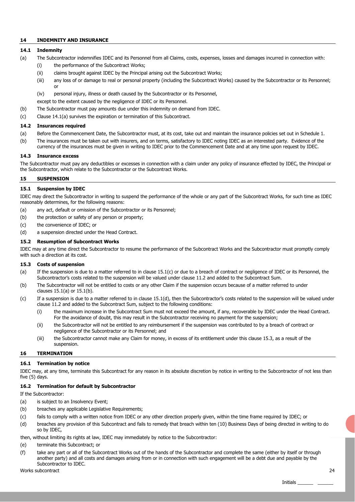#### **14 INDEMNITY AND INSURANCE**

#### **14.1 Indemnity**

- (a) The Subcontractor indemnifies IDEC and its Personnel from all Claims, costs, expenses, losses and damages incurred in connection with:
	- (i) the performance of the Subcontract Works;
	- (ii) claims brought against IDEC by the Principal arising out the Subcontract Works;
	- (iii) any loss of or damage to real or personal property (including the Subcontract Works) caused by the Subcontractor or its Personnel; or
	- (iv) personal injury, illness or death caused by the Subcontractor or its Personnel,
	- except to the extent caused by the negligence of IDEC or its Personnel.
- (b) The Subcontractor must pay amounts due under this indemnity on demand from IDEC.
- (c) Clause 14.1(a) survives the expiration or termination of this Subcontract.

#### **14.2 Insurances required**

- (a) Before the Commencement Date, the Subcontractor must, at its cost, take out and maintain the insurance policies set out in Schedule 1.
- (b) The insurances must be taken out with insurers, and on terms, satisfactory to IDEC noting IDEC as an interested party. Evidence of the currency of the insurances must be given in writing to IDEC prior to the Commencement Date and at any time upon request by IDEC.

#### **14.3 Insurance excess**

The Subcontractor must pay any deductibles or excesses in connection with a claim under any policy of insurance effected by IDEC, the Principal or the Subcontractor, which relate to the Subcontractor or the Subcontract Works.

#### **15 SUSPENSION**

#### **15.1 Suspension by IDEC**

IDEC may direct the Subcontractor in writing to suspend the performance of the whole or any part of the Subcontract Works, for such time as IDEC reasonably determines, for the following reasons:

- (a) any act, default or omission of the Subcontractor or its Personnel;
- (b) the protection or safety of any person or property;
- (c) the convenience of IDEC; or
- (d) a suspension directed under the Head Contract.

#### **15.2 Resumption of Subcontract Works**

IDEC may at any time direct the Subcontractor to resume the performance of the Subcontract Works and the Subcontractor must promptly comply with such a direction at its cost.

#### **15.3 Costs of suspension**

- (a) If the suspension is due to a matter referred to in clause 15.1(c) or due to a breach of contract or negligence of IDEC or its Personnel, the Subcontractor's costs related to the suspension will be valued under clause 11.2 and added to the Subcontract Sum.
- (b) The Subcontractor will not be entitled to costs or any other Claim if the suspension occurs because of a matter referred to under clauses 15.1(a) or 15.1(b).
- (c) If a suspension is due to a matter referred to in clause 15.1(d), then the Subcontractor's costs related to the suspension will be valued under clause 11.2 and added to the Subcontract Sum, subject to the following conditions:
	- (i) the maximum increase in the Subcontract Sum must not exceed the amount, if any, recoverable by IDEC under the Head Contract. For the avoidance of doubt, this may result in the Subcontractor receiving no payment for the suspension;
	- (ii) the Subcontractor will not be entitled to any reimbursement if the suspension was contributed to by a breach of contract or negligence of the Subcontractor or its Personnel; and
	- (iii) the Subcontractor cannot make any Claim for money, in excess of its entitlement under this clause 15.3, as a result of the suspension.

## **16 TERMINATION**

#### **16.1 Termination by notice**

IDEC may, at any time, terminate this Subcontract for any reason in its absolute discretion by notice in writing to the Subcontractor of not less than five (5) days.

#### **16.2 Termination for default by Subcontractor**

If the Subcontractor:

- (a) is subject to an Insolvency Event;
- (b) breaches any applicable Legislative Requirements;
- (c) fails to comply with a written notice from IDEC or any other direction properly given, within the time frame required by IDEC; or
- (d) breaches any provision of this Subcontract and fails to remedy that breach within ten (10) Business Days of being directed in writing to do so by IDEC,
- then, without limiting its rights at law, IDEC may immediately by notice to the Subcontractor:
- (e) terminate this Subcontract; or
- (f) take any part or all of the Subcontract Works out of the hands of the Subcontractor and complete the same (either by itself or through another party) and all costs and damages arising from or in connection with such engagement will be a debt due and payable by the Subcontractor to IDEC.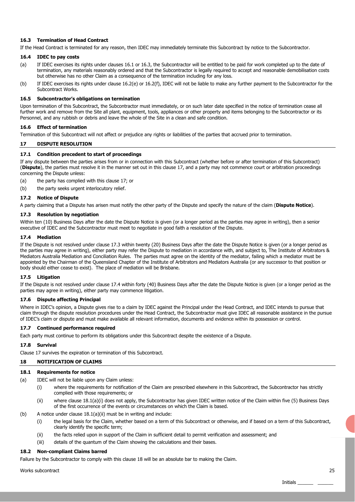#### **16.3 Termination of Head Contract**

If the Head Contract is terminated for any reason, then IDEC may immediately terminate this Subcontract by notice to the Subcontractor.

#### **16.4 IDEC to pay costs**

- (a) If IDEC exercises its rights under clauses 16.1 or 16.3, the Subcontractor will be entitled to be paid for work completed up to the date of termination, any materials reasonably ordered and that the Subcontractor is legally required to accept and reasonable demobilisation costs but otherwise has no other Claim as a consequence of the termination including for any loss.
- (b) If IDEC exercises its rights under clause 16.2(e) or 16.2(f), IDEC will not be liable to make any further payment to the Subcontractor for the Subcontract Works.

#### **16.5 Subcontractor's obligations on termination**

Upon termination of this Subcontract, the Subcontractor must immediately, or on such later date specified in the notice of termination cease all further work and remove from the Site all plant, equipment, tools, appliances or other property and items belonging to the Subcontractor or its Personnel, and any rubbish or debris and leave the whole of the Site in a clean and safe condition.

#### **16.6 Effect of termination**

Termination of this Subcontract will not affect or prejudice any rights or liabilities of the parties that accrued prior to termination.

#### **17 DISPUTE RESOLUTION**

#### **17.1 Condition precedent to start of proceedings**

If any dispute between the parties arises from or in connection with this Subcontract (whether before or after termination of this Subcontract) (**Dispute**), the parties must resolve it in the manner set out in this clause 17, and a party may not commence court or arbitration proceedings concerning the Dispute unless:

(a) the party has complied with this clause 17; or

(b) the party seeks urgent interlocutory relief.

#### **17.2 Notice of Dispute**

A party claiming that a Dispute has arisen must notify the other party of the Dispute and specify the nature of the claim (**Dispute Notice**).

#### **17.3 Resolution by negotiation**

Within ten (10) Business Days after the date the Dispute Notice is given (or a longer period as the parties may agree in writing), then a senior executive of IDEC and the Subcontractor must meet to negotiate in good faith a resolution of the Dispute.

#### **17.4 Mediation**

If the Dispute is not resolved under clause 17.3 within twenty (20) Business Days after the date the Dispute Notice is given (or a longer period as the parties may agree in writing), either party may refer the Dispute to mediation in accordance with, and subject to, The Institute of Arbitrators & Mediators Australia Mediation and Conciliation Rules. The parties must agree on the identity of the mediator, failing which a mediator must be appointed by the Chairman of the Queensland Chapter of the Institute of Arbitrators and Mediators Australia (or any successor to that position or body should either cease to exist). The place of mediation will be Brisbane.

#### **17.5 Litigation**

If the Dispute is not resolved under clause 17.4 within forty (40) Business Days after the date the Dispute Notice is given (or a longer period as the parties may agree in writing), either party may commence litigation.

#### **17.6 Dispute affecting Principal**

Where in IDEC's opinion, a Dispute gives rise to a claim by IDEC against the Principal under the Head Contract, and IDEC intends to pursue that claim through the dispute resolution procedures under the Head Contract, the Subcontractor must give IDEC all reasonable assistance in the pursue of IDEC's claim or dispute and must make available all relevant information, documents and evidence within its possession or control.

#### **17.7 Continued performance required**

Each party must continue to perform its obligations under this Subcontract despite the existence of a Dispute.

#### **17.8 Survival**

Clause 17 survives the expiration or termination of this Subcontract.

#### **18 NOTIFICATION OF CLAIMS**

#### **18.1 Requirements for notice**

- (a) IDEC will not be liable upon any Claim unless:
	- (i) where the requirements for notification of the Claim are prescribed elsewhere in this Subcontract, the Subcontractor has strictly complied with those requirements; or
	- (ii) where clause 18.1(a)(i) does not apply, the Subcontractor has given IDEC written notice of the Claim within five (5) Business Days of the first occurrence of the events or circumstances on which the Claim is based.
- (b) A notice under clause 18.1(a)(ii) must be in writing and include:
	- (i) the legal basis for the Claim, whether based on a term of this Subcontract or otherwise, and if based on a term of this Subcontract, clearly identify the specific term;
	- (ii) the facts relied upon in support of the Claim in sufficient detail to permit verification and assessment; and
	- (iii) details of the quantum of the Claim showing the calculations and their bases.

#### **18.2 Non-compliant Claims barred**

Failure by the Subcontractor to comply with this clause 18 will be an absolute bar to making the Claim.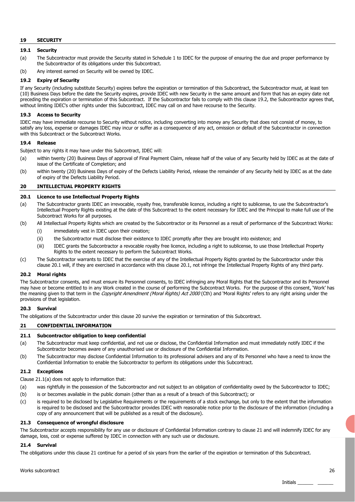#### **19 SECURITY**

### **19.1 Security**

- (a) The Subcontractor must provide the Security stated in Schedule 1 to IDEC for the purpose of ensuring the due and proper performance by the Subcontractor of its obligations under this Subcontract.
- (b) Any interest earned on Security will be owned by IDEC.

#### **19.2 Expiry of Security**

If any Security (including substitute Security) expires before the expiration or termination of this Subcontract, the Subcontractor must, at least ten (10) Business Days before the date the Security expires, provide IDEC with new Security in the same amount and form that has an expiry date not preceding the expiration or termination of this Subcontract. If the Subcontractor fails to comply with this clause 19.2, the Subcontractor agrees that, without limiting IDEC's other rights under this Subcontract, IDEC may call on and have recourse to the Security.

#### **19.3 Access to Security**

IDEC may have immediate recourse to Security without notice, including converting into money any Security that does not consist of money, to satisfy any loss, expense or damages IDEC may incur or suffer as a consequence of any act, omission or default of the Subcontractor in connection with this Subcontract or the Subcontract Works.

#### **19.4 Release**

Subject to any rights it may have under this Subcontract, IDEC will:

- (a) within twenty (20) Business Days of approval of Final Payment Claim, release half of the value of any Security held by IDEC as at the date of issue of the Certificate of Completion; and
- (b) within twenty (20) Business Days of expiry of the Defects Liability Period, release the remainder of any Security held by IDEC as at the date of expiry of the Defects Liability Period.

#### **20 INTELLECTUAL PROPERTY RIGHTS**

#### **20.1 Licence to use Intellectual Property Rights**

- (a) The Subcontractor grants IDEC an irrevocable, royalty free, transferable licence, including a right to sublicense, to use the Subcontractor's Intellectual Property Rights existing at the date of this Subcontract to the extent necessary for IDEC and the Principal to make full use of the Subcontract Works for all purposes.
- (b) All Intellectual Property Rights which are created by the Subcontractor or its Personnel as a result of performance of the Subcontract Works:
	- (i) immediately vest in IDEC upon their creation;
	- (ii) the Subcontractor must disclose their existence to IDEC promptly after they are brought into existence; and
	- (iii) IDEC grants the Subcontractor a revocable royalty free licence, including a right to sublicense, to use those Intellectual Property Rights to the extent necessary to perform the Subcontract Works.
- (c) The Subcontractor warrants to IDEC that the exercise of any of the Intellectual Property Rights granted by the Subcontractor under this clause 20.1 will, if they are exercised in accordance with this clause 20.1, not infringe the Intellectual Property Rights of any third party.

#### **20.2 Moral rights**

The Subcontractor consents, and must ensure its Personnel consents, to IDEC infringing any Moral Rights that the Subcontractor and its Personnel may have or become entitled to in any Work created in the course of performing the Subcontract Works. For the purpose of this consent, 'Work' has the meaning given to that term in the Copyright Amendment (Moral Rights) Act 2000 (Cth) and 'Moral Rights' refers to any right arising under the provisions of that legislation.

#### **20.3 Survival**

The obligations of the Subcontractor under this clause 20 survive the expiration or termination of this Subcontract.

#### **21 CONFIDENTIAL INFORMATION**

#### **21.1 Subcontractor obligation to keep confidential**

- (a) The Subcontractor must keep confidential, and not use or disclose, the Confidential Information and must immediately notify IDEC if the Subcontractor becomes aware of any unauthorised use or disclosure of the Confidential Information.
- (b) The Subcontractor may disclose Confidential Information to its professional advisers and any of its Personnel who have a need to know the Confidential Information to enable the Subcontractor to perform its obligations under this Subcontract.

#### **21.2 Exceptions**

Clause 21.1(a) does not apply to information that:

- (a) was rightfully in the possession of the Subcontractor and not subject to an obligation of confidentiality owed by the Subcontractor to IDEC;
- (b) is or becomes available in the public domain (other than as a result of a breach of this Subcontract); or
- (c) is required to be disclosed by Legislative Requirements or the requirements of a stock exchange, but only to the extent that the information is required to be disclosed and the Subcontractor provides IDEC with reasonable notice prior to the disclosure of the information (including a copy of any announcement that will be published as a result of the disclosure).

#### **21.3 Consequence of wrongful disclosure**

The Subcontractor accepts responsibility for any use or disclosure of Confidential Information contrary to clause 21 and will indemnify IDEC for any damage, loss, cost or expense suffered by IDEC in connection with any such use or disclosure.

#### **21.4 Survival**

The obligations under this clause 21 continue for a period of six years from the earlier of the expiration or termination of this Subcontract.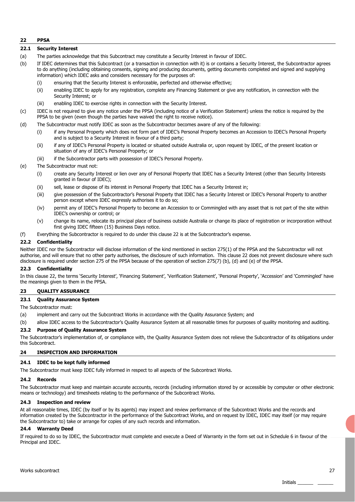#### **22 PPSA**

#### **22.1 Security Interest**

- (a) The parties acknowledge that this Subcontract may constitute a Security Interest in favour of IDEC.
- (b) If IDEC determines that this Subcontract (or a transaction in connection with it) is or contains a Security Interest, the Subcontractor agrees to do anything (including obtaining consents, signing and producing documents, getting documents completed and signed and supplying information) which IDEC asks and considers necessary for the purposes of:
	- (i) ensuring that the Security Interest is enforceable, perfected and otherwise effective;
	- (ii) enabling IDEC to apply for any registration, complete any Financing Statement or give any notification, in connection with the Security Interest; or
	- (iii) enabling IDEC to exercise rights in connection with the Security Interest.
- (c) IDEC is not required to give any notice under the PPSA (including notice of a Verification Statement) unless the notice is required by the PPSA to be given (even though the parties have waived the right to receive notice).
- (d) The Subcontractor must notify IDEC as soon as the Subcontractor becomes aware of any of the following:
	- (i) if any Personal Property which does not form part of IDEC's Personal Property becomes an Accession to IDEC's Personal Property and is subject to a Security Interest in favour of a third party;
	- (ii) if any of IDEC's Personal Property is located or situated outside Australia or, upon request by IDEC, of the present location or situation of any of IDEC's Personal Property; or
	- (iii) if the Subcontractor parts with possession of IDEC's Personal Property.
- (e) The Subcontractor must not:
	- (i) create any Security Interest or lien over any of Personal Property that IDEC has a Security Interest (other than Security Interests granted in favour of IDEC);
	- (ii) sell, lease or dispose of its interest in Personal Property that IDEC has a Security Interest in;
	- (iii) give possession of the Subcontractor's Personal Property that IDEC has a Security Interest or IDEC's Personal Property to another person except where IDEC expressly authorises it to do so;
	- (iv) permit any of IDEC's Personal Property to become an Accession to or Commingled with any asset that is not part of the site within IDEC's ownership or control; or
	- (v) change its name, relocate its principal place of business outside Australia or change its place of registration or incorporation without first giving IDEC fifteen (15) Business Days notice.
- (f) Everything the Subcontractor is required to do under this clause 22 is at the Subcontractor's expense.

#### **22.2 Confidentiality**

Neither IDEC nor the Subcontractor will disclose information of the kind mentioned in section 275(1) of the PPSA and the Subcontractor will not authorise, and will ensure that no other party authorises, the disclosure of such information. This clause 22 does not prevent disclosure where such disclosure is required under section 275 of the PPSA because of the operation of section 275(7) (b), (d) and (e) of the PPSA.

#### **22.3 Confidentiality**

In this clause 22, the terms 'Security Interest', 'Financing Statement', 'Verification Statement', 'Personal Property', 'Accession' and 'Commingled' have the meanings given to them in the PPSA.

#### **23 QUALITY ASSURANCE**

#### **23.1 Quality Assurance System**

The Subcontractor must:

- (a) implement and carry out the Subcontract Works in accordance with the Quality Assurance System; and
- (b) allow IDEC access to the Subcontractor's Quality Assurance System at all reasonable times for purposes of quality monitoring and auditing.

#### **23.2 Purpose of Quality Assurance System**

The Subcontractor's implementation of, or compliance with, the Quality Assurance System does not relieve the Subcontractor of its obligations under this Subcontract.

#### **24 INSPECTION AND INFORMATION**

#### **24.1 IDEC to be kept fully informed**

The Subcontractor must keep IDEC fully informed in respect to all aspects of the Subcontract Works.

#### **24.2 Records**

The Subcontractor must keep and maintain accurate accounts, records (including information stored by or accessible by computer or other electronic means or technology) and timesheets relating to the performance of the Subcontract Works.

#### **24.3 Inspection and review**

At all reasonable times, IDEC (by itself or by its agents) may inspect and review performance of the Subcontract Works and the records and information created by the Subcontractor in the performance of the Subcontract Works, and on request by IDEC, IDEC may itself (or may require the Subcontractor to) take or arrange for copies of any such records and information.

#### **24.4 Warranty Deed**

If required to do so by IDEC, the Subcontractor must complete and execute a Deed of Warranty in the form set out in Schedule 6 in favour of the Principal and IDEC.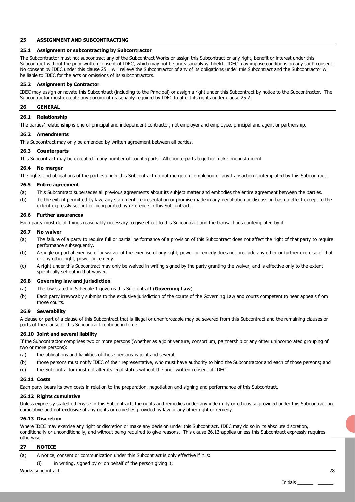#### **25 ASSIGNMENT AND SUBCONTRACTING**

#### **25.1 Assignment or subcontracting by Subcontractor**

The Subcontractor must not subcontract any of the Subcontract Works or assign this Subcontract or any right, benefit or interest under this Subcontract without the prior written consent of IDEC, which may not be unreasonably withheld. IDEC may impose conditions on any such consent. No consent by IDEC under this clause 25.1 will relieve the Subcontractor of any of its obligations under this Subcontract and the Subcontractor will be liable to IDEC for the acts or omissions of its subcontractors.

#### **25.2 Assignment by Contractor**

IDEC may assign or novate this Subcontract (including to the Principal) or assign a right under this Subcontract by notice to the Subcontractor. The Subcontractor must execute any document reasonably required by IDEC to affect its rights under clause 25.2.

#### **26 GENERAL**

#### **26.1 Relationship**

The parties' relationship is one of principal and independent contractor, not employer and employee, principal and agent or partnership.

#### **26.2 Amendments**

This Subcontract may only be amended by written agreement between all parties.

#### **26.3 Counterparts**

This Subcontract may be executed in any number of counterparts. All counterparts together make one instrument.

#### **26.4 No merger**

The rights and obligations of the parties under this Subcontract do not merge on completion of any transaction contemplated by this Subcontract.

#### **26.5 Entire agreement**

- (a) This Subcontract supersedes all previous agreements about its subject matter and embodies the entire agreement between the parties.
- (b) To the extent permitted by law, any statement, representation or promise made in any negotiation or discussion has no effect except to the extent expressly set out or incorporated by reference in this Subcontract.

#### **26.6 Further assurances**

Each party must do all things reasonably necessary to give effect to this Subcontract and the transactions contemplated by it.

#### **26.7 No waiver**

- (a) The failure of a party to require full or partial performance of a provision of this Subcontract does not affect the right of that party to require performance subsequently.
- (b) A single or partial exercise of or waiver of the exercise of any right, power or remedy does not preclude any other or further exercise of that or any other right, power or remedy.
- (c) A right under this Subcontract may only be waived in writing signed by the party granting the waiver, and is effective only to the extent specifically set out in that waiver.

#### **26.8 Governing law and jurisdiction**

- (a) The law stated in Schedule 1 governs this Subcontract (**Governing Law**).
- (b) Each party irrevocably submits to the exclusive jurisdiction of the courts of the Governing Law and courts competent to hear appeals from those courts.

#### **26.9 Severability**

A clause or part of a clause of this Subcontract that is illegal or unenforceable may be severed from this Subcontract and the remaining clauses or parts of the clause of this Subcontract continue in force.

#### **26.10 Joint and several liability**

If the Subcontractor comprises two or more persons (whether as a joint venture, consortium, partnership or any other unincorporated grouping of two or more persons):

- (a) the obligations and liabilities of those persons is joint and several;
- (b) those persons must notify IDEC of their representative, who must have authority to bind the Subcontractor and each of those persons; and
- (c) the Subcontractor must not alter its legal status without the prior written consent of IDEC.

#### **26.11 Costs**

Each party bears its own costs in relation to the preparation, negotiation and signing and performance of this Subcontract.

#### **26.12 Rights cumulative**

Unless expressly stated otherwise in this Subcontract, the rights and remedies under any indemnity or otherwise provided under this Subcontract are cumulative and not exclusive of any rights or remedies provided by law or any other right or remedy.

#### **26.13 Discretion**

Where IDEC may exercise any right or discretion or make any decision under this Subcontract, IDEC may do so in its absolute discretion, conditionally or unconditionally, and without being required to give reasons. This clause 26.13 applies unless this Subcontract expressly requires otherwise.

#### **27 NOTICE**

- (a) A notice, consent or communication under this Subcontract is only effective if it is:
	- (i) in writing, signed by or on behalf of the person giving it;

#### Works subcontract 28